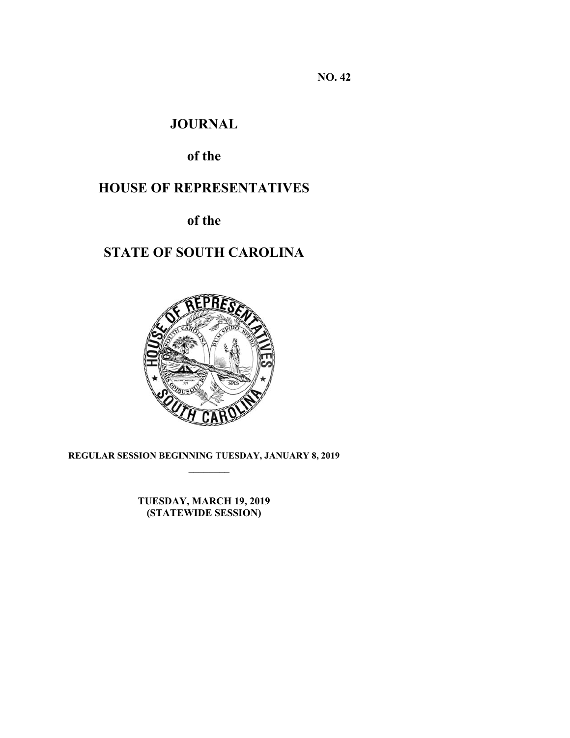**NO. 42** 

# **JOURNAL**

# **of the**

# **HOUSE OF REPRESENTATIVES**

**of the** 

# **STATE OF SOUTH CAROLINA**



**REGULAR SESSION BEGINNING TUESDAY, JANUARY 8, 2019 \_\_\_\_\_\_\_\_**

> **TUESDAY, MARCH 19, 2019 (STATEWIDE SESSION)**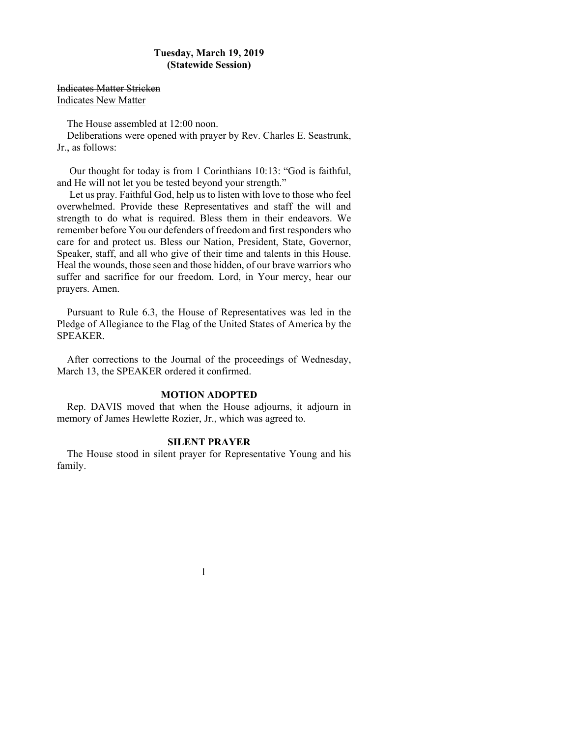### **Tuesday, March 19, 2019 (Statewide Session)**

Indicates Matter Stricken Indicates New Matter

The House assembled at 12:00 noon.

Deliberations were opened with prayer by Rev. Charles E. Seastrunk, Jr., as follows:

 Our thought for today is from 1 Corinthians 10:13: "God is faithful, and He will not let you be tested beyond your strength."

 Let us pray. Faithful God, help us to listen with love to those who feel overwhelmed. Provide these Representatives and staff the will and strength to do what is required. Bless them in their endeavors. We remember before You our defenders of freedom and first responders who care for and protect us. Bless our Nation, President, State, Governor, Speaker, staff, and all who give of their time and talents in this House. Heal the wounds, those seen and those hidden, of our brave warriors who suffer and sacrifice for our freedom. Lord, in Your mercy, hear our prayers. Amen.

Pursuant to Rule 6.3, the House of Representatives was led in the Pledge of Allegiance to the Flag of the United States of America by the SPEAKER.

After corrections to the Journal of the proceedings of Wednesday, March 13, the SPEAKER ordered it confirmed.

### **MOTION ADOPTED**

Rep. DAVIS moved that when the House adjourns, it adjourn in memory of James Hewlette Rozier, Jr., which was agreed to.

### **SILENT PRAYER**

The House stood in silent prayer for Representative Young and his family.

1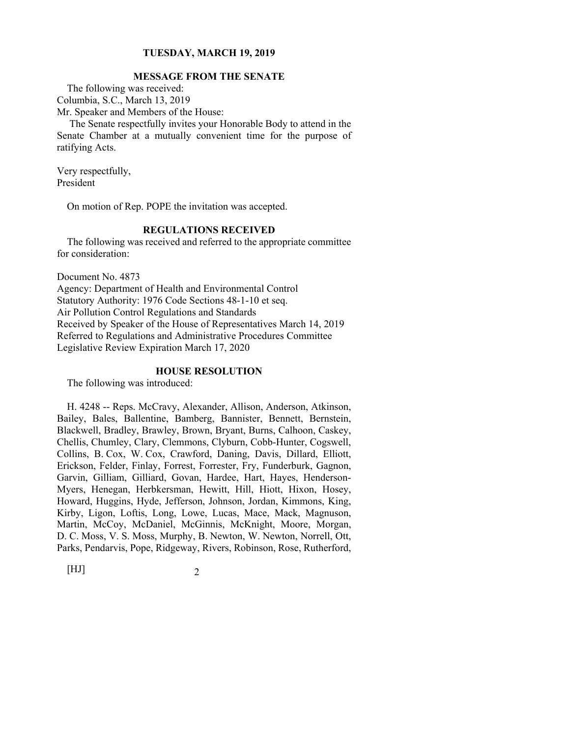### **MESSAGE FROM THE SENATE**

The following was received: Columbia, S.C., March 13, 2019 Mr. Speaker and Members of the House:

 The Senate respectfully invites your Honorable Body to attend in the Senate Chamber at a mutually convenient time for the purpose of ratifying Acts.

Very respectfully, President

On motion of Rep. POPE the invitation was accepted.

### **REGULATIONS RECEIVED**

The following was received and referred to the appropriate committee for consideration:

Document No. 4873

Agency: Department of Health and Environmental Control Statutory Authority: 1976 Code Sections 48-1-10 et seq. Air Pollution Control Regulations and Standards Received by Speaker of the House of Representatives March 14, 2019 Referred to Regulations and Administrative Procedures Committee Legislative Review Expiration March 17, 2020

#### **HOUSE RESOLUTION**

The following was introduced:

H. 4248 -- Reps. McCravy, Alexander, Allison, Anderson, Atkinson, Bailey, Bales, Ballentine, Bamberg, Bannister, Bennett, Bernstein, Blackwell, Bradley, Brawley, Brown, Bryant, Burns, Calhoon, Caskey, Chellis, Chumley, Clary, Clemmons, Clyburn, Cobb-Hunter, Cogswell, Collins, B. Cox, W. Cox, Crawford, Daning, Davis, Dillard, Elliott, Erickson, Felder, Finlay, Forrest, Forrester, Fry, Funderburk, Gagnon, Garvin, Gilliam, Gilliard, Govan, Hardee, Hart, Hayes, Henderson-Myers, Henegan, Herbkersman, Hewitt, Hill, Hiott, Hixon, Hosey, Howard, Huggins, Hyde, Jefferson, Johnson, Jordan, Kimmons, King, Kirby, Ligon, Loftis, Long, Lowe, Lucas, Mace, Mack, Magnuson, Martin, McCoy, McDaniel, McGinnis, McKnight, Moore, Morgan, D. C. Moss, V. S. Moss, Murphy, B. Newton, W. Newton, Norrell, Ott, Parks, Pendarvis, Pope, Ridgeway, Rivers, Robinson, Rose, Rutherford,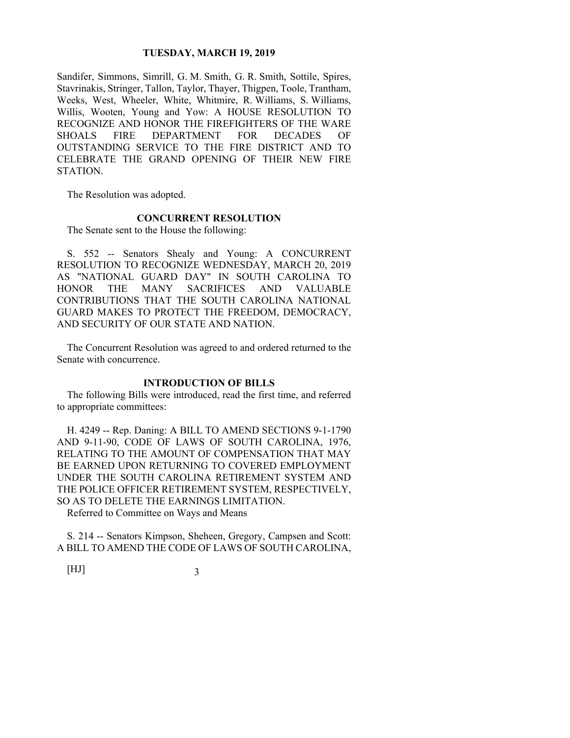Sandifer, Simmons, Simrill, G. M. Smith, G. R. Smith, Sottile, Spires, Stavrinakis, Stringer, Tallon, Taylor, Thayer, Thigpen, Toole, Trantham, Weeks, West, Wheeler, White, Whitmire, R. Williams, S. Williams, Willis, Wooten, Young and Yow: A HOUSE RESOLUTION TO RECOGNIZE AND HONOR THE FIREFIGHTERS OF THE WARE SHOALS FIRE DEPARTMENT FOR DECADES OF OUTSTANDING SERVICE TO THE FIRE DISTRICT AND TO CELEBRATE THE GRAND OPENING OF THEIR NEW FIRE STATION.

The Resolution was adopted.

### **CONCURRENT RESOLUTION**

The Senate sent to the House the following:

S. 552 -- Senators Shealy and Young: A CONCURRENT RESOLUTION TO RECOGNIZE WEDNESDAY, MARCH 20, 2019 AS "NATIONAL GUARD DAY" IN SOUTH CAROLINA TO HONOR THE MANY SACRIFICES AND VALUABLE CONTRIBUTIONS THAT THE SOUTH CAROLINA NATIONAL GUARD MAKES TO PROTECT THE FREEDOM, DEMOCRACY, AND SECURITY OF OUR STATE AND NATION.

The Concurrent Resolution was agreed to and ordered returned to the Senate with concurrence.

### **INTRODUCTION OF BILLS**

The following Bills were introduced, read the first time, and referred to appropriate committees:

H. 4249 -- Rep. Daning: A BILL TO AMEND SECTIONS 9-1-1790 AND 9-11-90, CODE OF LAWS OF SOUTH CAROLINA, 1976, RELATING TO THE AMOUNT OF COMPENSATION THAT MAY BE EARNED UPON RETURNING TO COVERED EMPLOYMENT UNDER THE SOUTH CAROLINA RETIREMENT SYSTEM AND THE POLICE OFFICER RETIREMENT SYSTEM, RESPECTIVELY, SO AS TO DELETE THE EARNINGS LIMITATION.

Referred to Committee on Ways and Means

S. 214 -- Senators Kimpson, Sheheen, Gregory, Campsen and Scott: A BILL TO AMEND THE CODE OF LAWS OF SOUTH CAROLINA,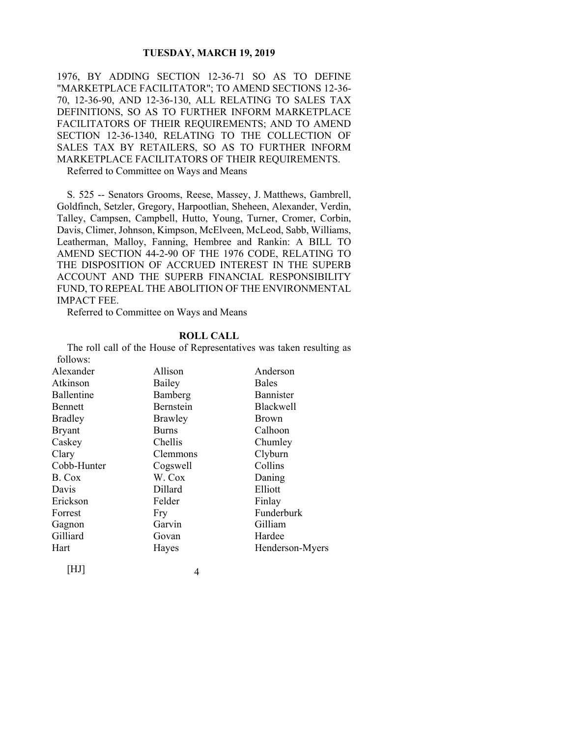1976, BY ADDING SECTION 12-36-71 SO AS TO DEFINE "MARKETPLACE FACILITATOR"; TO AMEND SECTIONS 12-36- 70, 12-36-90, AND 12-36-130, ALL RELATING TO SALES TAX DEFINITIONS, SO AS TO FURTHER INFORM MARKETPLACE FACILITATORS OF THEIR REQUIREMENTS; AND TO AMEND SECTION 12-36-1340, RELATING TO THE COLLECTION OF SALES TAX BY RETAILERS, SO AS TO FURTHER INFORM MARKETPLACE FACILITATORS OF THEIR REQUIREMENTS.

Referred to Committee on Ways and Means

S. 525 -- Senators Grooms, Reese, Massey, J. Matthews, Gambrell, Goldfinch, Setzler, Gregory, Harpootlian, Sheheen, Alexander, Verdin, Talley, Campsen, Campbell, Hutto, Young, Turner, Cromer, Corbin, Davis, Climer, Johnson, Kimpson, McElveen, McLeod, Sabb, Williams, Leatherman, Malloy, Fanning, Hembree and Rankin: A BILL TO AMEND SECTION 44-2-90 OF THE 1976 CODE, RELATING TO THE DISPOSITION OF ACCRUED INTEREST IN THE SUPERB ACCOUNT AND THE SUPERB FINANCIAL RESPONSIBILITY FUND, TO REPEAL THE ABOLITION OF THE ENVIRONMENTAL IMPACT FEE.

Referred to Committee on Ways and Means

#### **ROLL CALL**

The roll call of the House of Representatives was taken resulting as follows:

| Alexander      | Allison          | Anderson         |
|----------------|------------------|------------------|
| Atkinson       | Bailey           | <b>Bales</b>     |
| Ballentine     | Bamberg          | <b>Bannister</b> |
| <b>Bennett</b> | <b>Bernstein</b> | <b>Blackwell</b> |
| <b>Bradley</b> | Brawley          | <b>Brown</b>     |
| <b>Bryant</b>  | <b>Burns</b>     | Calhoon          |
| Caskey         | Chellis          | Chumley          |
| Clary          | Clemmons         | Clyburn          |
| Cobb-Hunter    | Cogswell         | Collins          |
| B. Cox         | W. Cox           | Daning           |
| Davis          | Dillard          | Elliott          |
| Erickson       | Felder           | Finlay           |
| Forrest        | Fry              | Funderburk       |
| Gagnon         | Garvin           | Gilliam          |
| Gilliard       | Govan            | Hardee           |
| Hart           | Hayes            | Henderson-Myers  |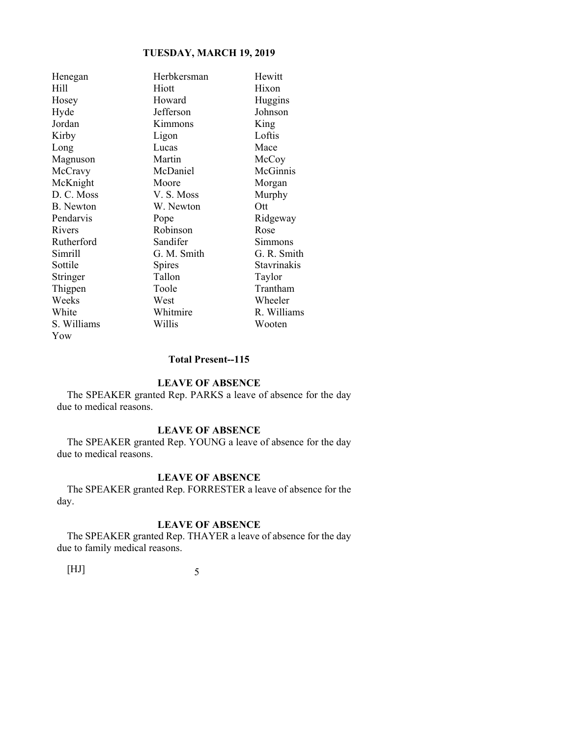| Henegan          | Herbkersman | Hewitt      |
|------------------|-------------|-------------|
| Hill             | Hiott       | Hixon       |
| Hosey            | Howard      | Huggins     |
| Hyde             | Jefferson   | Johnson     |
| Jordan           | Kimmons     | King        |
| Kirby            | Ligon       | Loftis      |
| Long             | Lucas       | Mace        |
| Magnuson         | Martin      | McCoy       |
| McCravy          | McDaniel    | McGinnis    |
| McKnight         | Moore       | Morgan      |
| D. C. Moss       | V.S. Moss   | Murphy      |
| <b>B.</b> Newton | W. Newton   | Ott         |
| Pendarvis        | Pope        | Ridgeway    |
| Rivers           | Robinson    | Rose        |
| Rutherford       | Sandifer    | Simmons     |
| Simrill          | G. M. Smith | G. R. Smith |
| Sottile          | Spires      | Stavrinakis |
| Stringer         | Tallon      | Taylor      |
| Thigpen          | Toole       | Trantham    |
| Weeks            | West        | Wheeler     |
| White            | Whitmire    | R. Williams |
| S. Williams      | Willis      | Wooten      |
| Yow              |             |             |

### **Total Present--115**

#### **LEAVE OF ABSENCE**

The SPEAKER granted Rep. PARKS a leave of absence for the day due to medical reasons.

### **LEAVE OF ABSENCE**

The SPEAKER granted Rep. YOUNG a leave of absence for the day due to medical reasons.

### **LEAVE OF ABSENCE**

The SPEAKER granted Rep. FORRESTER a leave of absence for the day.

### **LEAVE OF ABSENCE**

The SPEAKER granted Rep. THAYER a leave of absence for the day due to family medical reasons.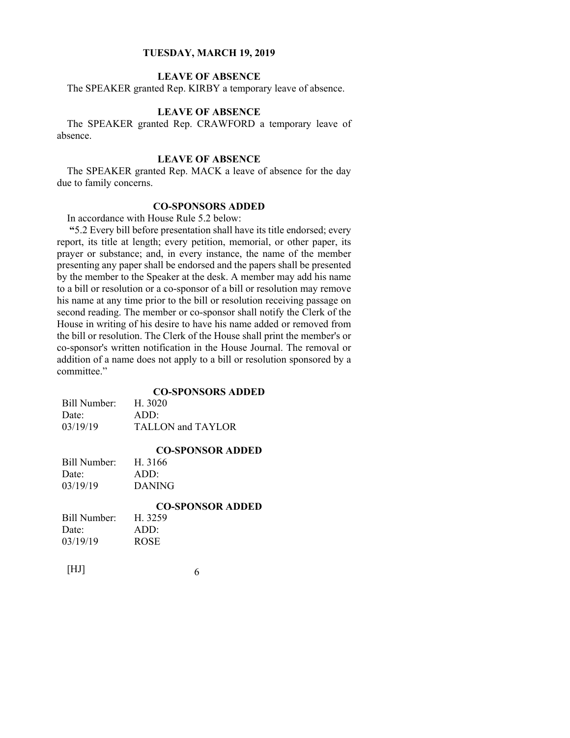### **LEAVE OF ABSENCE**

The SPEAKER granted Rep. KIRBY a temporary leave of absence.

### **LEAVE OF ABSENCE**

The SPEAKER granted Rep. CRAWFORD a temporary leave of absence.

### **LEAVE OF ABSENCE**

The SPEAKER granted Rep. MACK a leave of absence for the day due to family concerns.

### **CO-SPONSORS ADDED**

In accordance with House Rule 5.2 below:

**"**5.2 Every bill before presentation shall have its title endorsed; every report, its title at length; every petition, memorial, or other paper, its prayer or substance; and, in every instance, the name of the member presenting any paper shall be endorsed and the papers shall be presented by the member to the Speaker at the desk. A member may add his name to a bill or resolution or a co-sponsor of a bill or resolution may remove his name at any time prior to the bill or resolution receiving passage on second reading. The member or co-sponsor shall notify the Clerk of the House in writing of his desire to have his name added or removed from the bill or resolution. The Clerk of the House shall print the member's or co-sponsor's written notification in the House Journal. The removal or addition of a name does not apply to a bill or resolution sponsored by a committee."

### **CO-SPONSORS ADDED**

| Bill Number: | H. 3020           |
|--------------|-------------------|
| Date:        | $ADD^*$           |
| 03/19/19     | TALLON and TAYLOR |

### **CO-SPONSOR ADDED**

| Bill Number: | H. 3166       |
|--------------|---------------|
| Date:        | ADD:          |
| 03/19/19     | <b>DANING</b> |

|                | <b>CO-SPONSOR ADDED</b> |
|----------------|-------------------------|
| Bill Number: - | H. 3259                 |
| Date:          | ADD:                    |
| 03/19/19       | <b>ROSE</b>             |
|                |                         |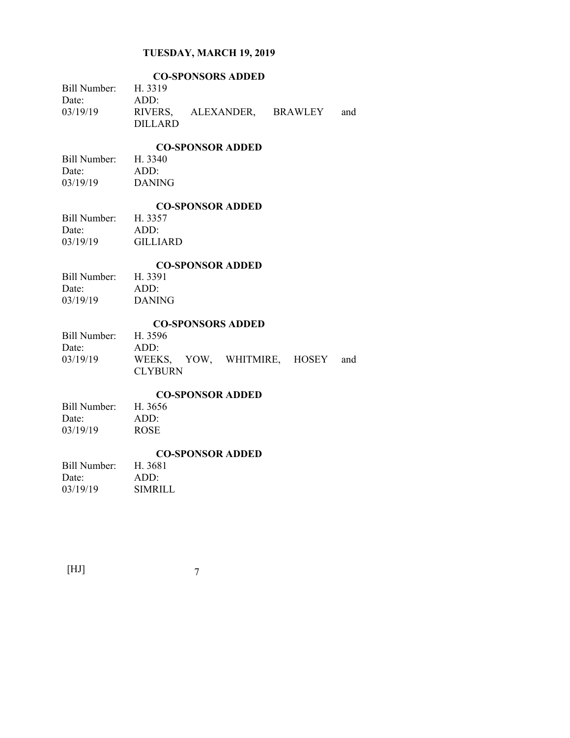| <b>CO-SPONSORS ADDED</b>      |                                        |  |  |
|-------------------------------|----------------------------------------|--|--|
| Bill Number: H. 3319          |                                        |  |  |
| Date:<br>03/19/19             | ADD:<br>RIVERS, ALEXANDER, BRAWLEY and |  |  |
|                               | <b>DILLARD</b>                         |  |  |
|                               | <b>CO-SPONSOR ADDED</b>                |  |  |
| Bill Number: H. 3340          |                                        |  |  |
| Date:                         | ADD:                                   |  |  |
| 03/19/19                      | <b>DANING</b>                          |  |  |
|                               | <b>CO-SPONSOR ADDED</b>                |  |  |
| Bill Number:                  | H. 3357                                |  |  |
| Date:<br>03/19/19             | ADD:<br><b>GILLIARD</b>                |  |  |
|                               |                                        |  |  |
|                               | <b>CO-SPONSOR ADDED</b>                |  |  |
| Bill Number:<br>Date:         | H. 3391<br>ADD:                        |  |  |
| 03/19/19                      | <b>DANING</b>                          |  |  |
|                               |                                        |  |  |
|                               | <b>CO-SPONSORS ADDED</b>               |  |  |
| Bill Number: H. 3596<br>Date: | ADD:                                   |  |  |
| 03/19/19                      | WEEKS, YOW, WHITMIRE, HOSEY<br>and     |  |  |
|                               | <b>CLYBURN</b>                         |  |  |
| <b>CO-SPONSOR ADDED</b>       |                                        |  |  |
| Bill Number:                  | H. 3656                                |  |  |
| Date:                         | ADD:                                   |  |  |
| 03/19/19                      | <b>ROSE</b>                            |  |  |
| <b>CO-SPONSOR ADDED</b>       |                                        |  |  |
| Bill Number: H. 3681          |                                        |  |  |
| Date:<br>03/19/19             | ADD:<br><b>SIMRILL</b>                 |  |  |
|                               |                                        |  |  |

| [HJ] |  |
|------|--|
|      |  |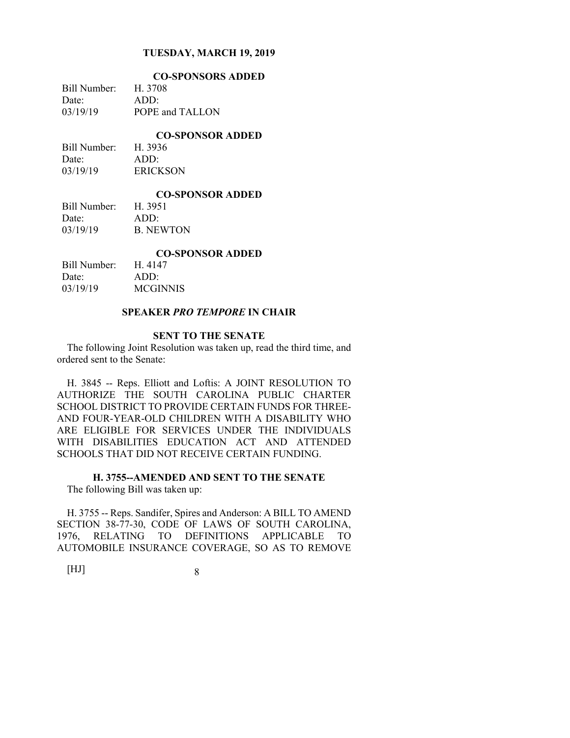| <b>CO-SPONSORS ADDED</b> |
|--------------------------|
| H. 3708                  |
| $ADD^*$                  |
| POPE and TALLON          |
|                          |

**CO-SPONSOR ADDED** 

| Bill Number: | H. 3936         |
|--------------|-----------------|
| Date:        | ADD:            |
| 03/19/19     | <b>ERICKSON</b> |

#### **CO-SPONSOR ADDED**

| Bill Number: | H. 3951          |
|--------------|------------------|
| Date:        | ADD:             |
| 03/19/19     | <b>B. NEWTON</b> |

#### **CO-SPONSOR ADDED**

| Bill Number: | H. 4147  |
|--------------|----------|
| Date:        | ADD:     |
| 03/19/19     | MCGINNIS |

### **SPEAKER** *PRO TEMPORE* **IN CHAIR**

#### **SENT TO THE SENATE**

The following Joint Resolution was taken up, read the third time, and ordered sent to the Senate:

H. 3845 -- Reps. Elliott and Loftis: A JOINT RESOLUTION TO AUTHORIZE THE SOUTH CAROLINA PUBLIC CHARTER SCHOOL DISTRICT TO PROVIDE CERTAIN FUNDS FOR THREE-AND FOUR-YEAR-OLD CHILDREN WITH A DISABILITY WHO ARE ELIGIBLE FOR SERVICES UNDER THE INDIVIDUALS WITH DISABILITIES EDUCATION ACT AND ATTENDED SCHOOLS THAT DID NOT RECEIVE CERTAIN FUNDING.

### **H. 3755--AMENDED AND SENT TO THE SENATE**  The following Bill was taken up:

1976, RELATING TO DEFINITIONS APPLICABLE TO AUTOMOBILE INSURANCE COVERAGE, SO AS TO REMOVE

H. 3755 -- Reps. Sandifer, Spires and Anderson: A BILL TO AMEND SECTION 38-77-30, CODE OF LAWS OF SOUTH CAROLINA,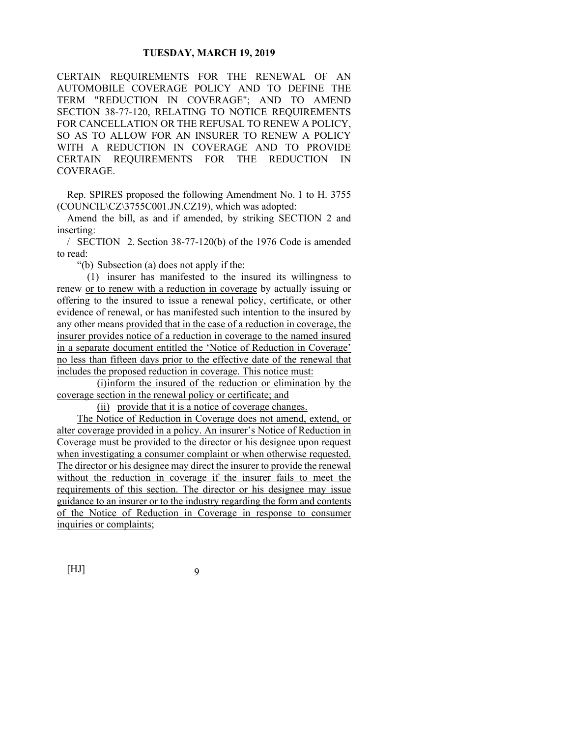CERTAIN REQUIREMENTS FOR THE RENEWAL OF AN AUTOMOBILE COVERAGE POLICY AND TO DEFINE THE TERM "REDUCTION IN COVERAGE"; AND TO AMEND SECTION 38-77-120, RELATING TO NOTICE REQUIREMENTS FOR CANCELLATION OR THE REFUSAL TO RENEW A POLICY, SO AS TO ALLOW FOR AN INSURER TO RENEW A POLICY WITH A REDUCTION IN COVERAGE AND TO PROVIDE CERTAIN REQUIREMENTS FOR THE REDUCTION IN COVERAGE.

Rep. SPIRES proposed the following Amendment No. 1 to H. 3755 (COUNCIL\CZ\3755C001.JN.CZ19), which was adopted:

Amend the bill, as and if amended, by striking SECTION 2 and inserting:

/ SECTION 2. Section 38-77-120(b) of the 1976 Code is amended to read:

"(b) Subsection (a) does not apply if the:

 (1) insurer has manifested to the insured its willingness to renew or to renew with a reduction in coverage by actually issuing or offering to the insured to issue a renewal policy, certificate, or other evidence of renewal, or has manifested such intention to the insured by any other means provided that in the case of a reduction in coverage, the insurer provides notice of a reduction in coverage to the named insured in a separate document entitled the 'Notice of Reduction in Coverage' no less than fifteen days prior to the effective date of the renewal that includes the proposed reduction in coverage. This notice must:

 (i) inform the insured of the reduction or elimination by the coverage section in the renewal policy or certificate; and

(ii) provide that it is a notice of coverage changes.

 The Notice of Reduction in Coverage does not amend, extend, or alter coverage provided in a policy. An insurer's Notice of Reduction in Coverage must be provided to the director or his designee upon request when investigating a consumer complaint or when otherwise requested. The director or his designee may direct the insurer to provide the renewal without the reduction in coverage if the insurer fails to meet the requirements of this section. The director or his designee may issue guidance to an insurer or to the industry regarding the form and contents of the Notice of Reduction in Coverage in response to consumer inquiries or complaints;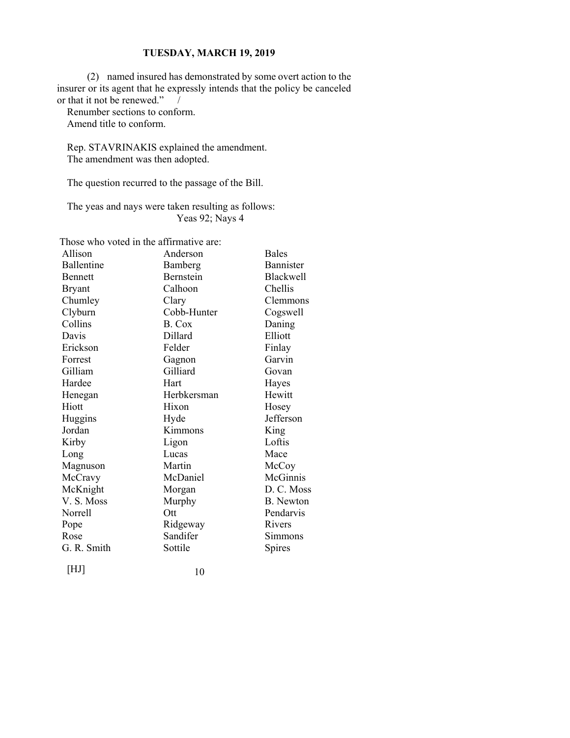(2) named insured has demonstrated by some overt action to the insurer or its agent that he expressly intends that the policy be canceled or that it not be renewed."

Renumber sections to conform. Amend title to conform.

Rep. STAVRINAKIS explained the amendment. The amendment was then adopted.

The question recurred to the passage of the Bill.

The yeas and nays were taken resulting as follows: Yeas 92; Nays 4

Those who voted in the affirmative are:

| Allison        | Anderson    | <b>Bales</b>     |
|----------------|-------------|------------------|
| Ballentine     | Bamberg     | Bannister        |
| <b>Bennett</b> | Bernstein   | <b>Blackwell</b> |
| Bryant         | Calhoon     | Chellis          |
| Chumley        | Clary       | Clemmons         |
| Clyburn        | Cobb-Hunter | Cogswell         |
| Collins        | B. Cox      | Daning           |
| Davis          | Dillard     | Elliott          |
| Erickson       | Felder      | Finlay           |
| Forrest        | Gagnon      | Garvin           |
| Gilliam        | Gilliard    | Govan            |
| Hardee         | Hart        | Hayes            |
| Henegan        | Herbkersman | Hewitt           |
| Hiott          | Hixon       | Hosey            |
| Huggins        | Hyde        | Jefferson        |
| Jordan         | Kimmons     | King             |
| Kirby          | Ligon       | Loftis           |
| Long           | Lucas       | Mace             |
| Magnuson       | Martin      | McCoy            |
| McCravy        | McDaniel    | McGinnis         |
| McKnight       | Morgan      | D. C. Moss       |
| V.S. Moss      | Murphy      | B. Newton        |
| Norrell        | Ott         | Pendarvis        |
| Pope           | Ridgeway    | Rivers           |
| Rose           | Sandifer    | Simmons          |
| G. R. Smith    | Sottile     | Spires           |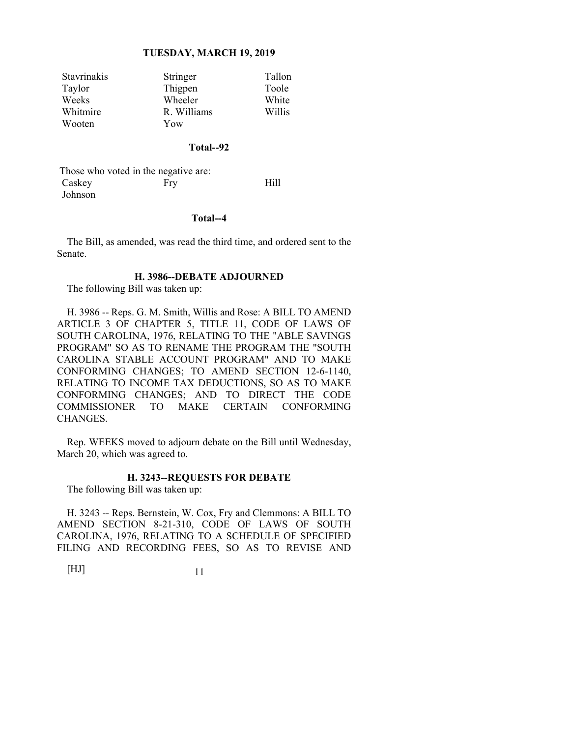| <b>Stavrinakis</b> | Stringer    | Tallon |
|--------------------|-------------|--------|
| Taylor             | Thigpen     | Toole  |
| Weeks              | Wheeler     | White  |
| Whitmire           | R. Williams | Willis |
| Wooten             | Yow         |        |

#### **Total--92**

 Those who voted in the negative are: Caskey Fry Hill Johnson

#### **Total--4**

The Bill, as amended, was read the third time, and ordered sent to the Senate.

### **H. 3986--DEBATE ADJOURNED**

The following Bill was taken up:

H. 3986 -- Reps. G. M. Smith, Willis and Rose: A BILL TO AMEND ARTICLE 3 OF CHAPTER 5, TITLE 11, CODE OF LAWS OF SOUTH CAROLINA, 1976, RELATING TO THE "ABLE SAVINGS PROGRAM" SO AS TO RENAME THE PROGRAM THE "SOUTH CAROLINA STABLE ACCOUNT PROGRAM" AND TO MAKE CONFORMING CHANGES; TO AMEND SECTION 12-6-1140, RELATING TO INCOME TAX DEDUCTIONS, SO AS TO MAKE CONFORMING CHANGES; AND TO DIRECT THE CODE COMMISSIONER TO MAKE CERTAIN CONFORMING CHANGES.

Rep. WEEKS moved to adjourn debate on the Bill until Wednesday, March 20, which was agreed to.

### **H. 3243--REQUESTS FOR DEBATE**

The following Bill was taken up:

H. 3243 -- Reps. Bernstein, W. Cox, Fry and Clemmons: A BILL TO AMEND SECTION 8-21-310, CODE OF LAWS OF SOUTH CAROLINA, 1976, RELATING TO A SCHEDULE OF SPECIFIED FILING AND RECORDING FEES, SO AS TO REVISE AND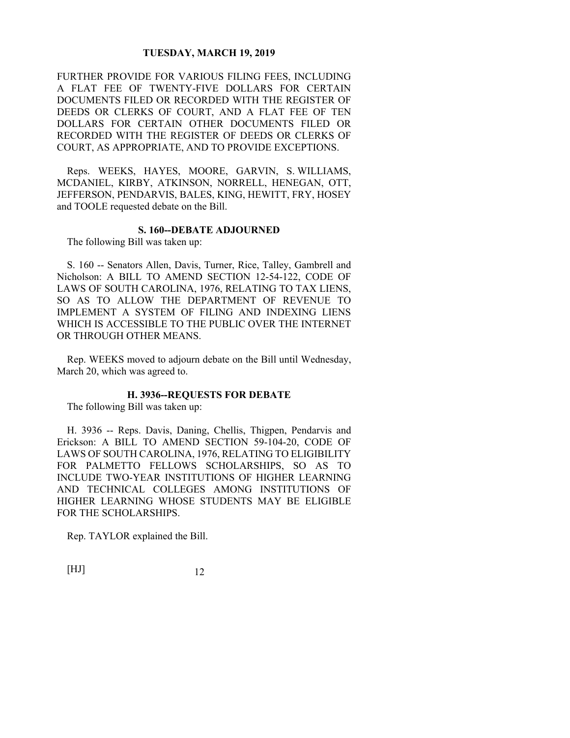FURTHER PROVIDE FOR VARIOUS FILING FEES, INCLUDING A FLAT FEE OF TWENTY-FIVE DOLLARS FOR CERTAIN DOCUMENTS FILED OR RECORDED WITH THE REGISTER OF DEEDS OR CLERKS OF COURT, AND A FLAT FEE OF TEN DOLLARS FOR CERTAIN OTHER DOCUMENTS FILED OR RECORDED WITH THE REGISTER OF DEEDS OR CLERKS OF COURT, AS APPROPRIATE, AND TO PROVIDE EXCEPTIONS.

Reps. WEEKS, HAYES, MOORE, GARVIN, S. WILLIAMS, MCDANIEL, KIRBY, ATKINSON, NORRELL, HENEGAN, OTT, JEFFERSON, PENDARVIS, BALES, KING, HEWITT, FRY, HOSEY and TOOLE requested debate on the Bill.

### **S. 160--DEBATE ADJOURNED**

The following Bill was taken up:

S. 160 -- Senators Allen, Davis, Turner, Rice, Talley, Gambrell and Nicholson: A BILL TO AMEND SECTION 12-54-122, CODE OF LAWS OF SOUTH CAROLINA, 1976, RELATING TO TAX LIENS, SO AS TO ALLOW THE DEPARTMENT OF REVENUE TO IMPLEMENT A SYSTEM OF FILING AND INDEXING LIENS WHICH IS ACCESSIBLE TO THE PUBLIC OVER THE INTERNET OR THROUGH OTHER MEANS.

Rep. WEEKS moved to adjourn debate on the Bill until Wednesday, March 20, which was agreed to.

### **H. 3936--REQUESTS FOR DEBATE**

The following Bill was taken up:

H. 3936 -- Reps. Davis, Daning, Chellis, Thigpen, Pendarvis and Erickson: A BILL TO AMEND SECTION 59-104-20, CODE OF LAWS OF SOUTH CAROLINA, 1976, RELATING TO ELIGIBILITY FOR PALMETTO FELLOWS SCHOLARSHIPS, SO AS TO INCLUDE TWO-YEAR INSTITUTIONS OF HIGHER LEARNING AND TECHNICAL COLLEGES AMONG INSTITUTIONS OF HIGHER LEARNING WHOSE STUDENTS MAY BE ELIGIBLE FOR THE SCHOLARSHIPS.

Rep. TAYLOR explained the Bill.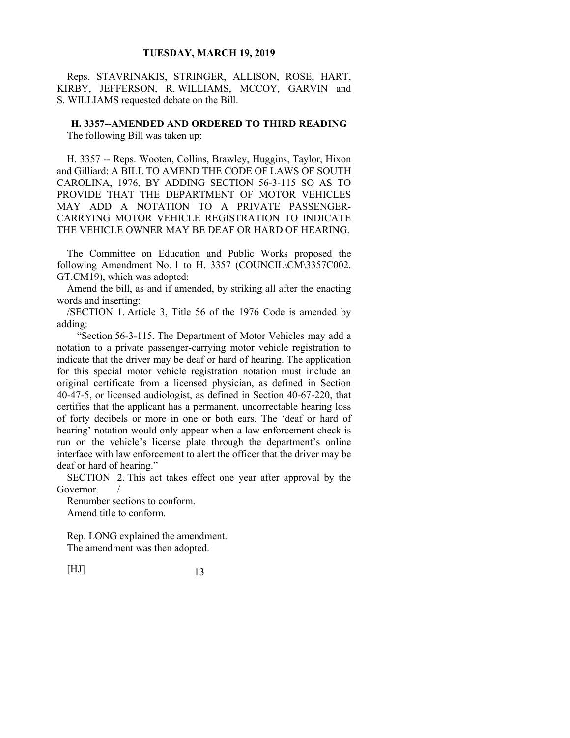Reps. STAVRINAKIS, STRINGER, ALLISON, ROSE, HART, KIRBY, JEFFERSON, R. WILLIAMS, MCCOY, GARVIN and S. WILLIAMS requested debate on the Bill.

**H. 3357--AMENDED AND ORDERED TO THIRD READING**  The following Bill was taken up:

H. 3357 -- Reps. Wooten, Collins, Brawley, Huggins, Taylor, Hixon and Gilliard: A BILL TO AMEND THE CODE OF LAWS OF SOUTH CAROLINA, 1976, BY ADDING SECTION 56-3-115 SO AS TO PROVIDE THAT THE DEPARTMENT OF MOTOR VEHICLES MAY ADD A NOTATION TO A PRIVATE PASSENGER-CARRYING MOTOR VEHICLE REGISTRATION TO INDICATE THE VEHICLE OWNER MAY BE DEAF OR HARD OF HEARING.

The Committee on Education and Public Works proposed the following Amendment No. 1 to H. 3357 (COUNCIL\CM\3357C002. GT.CM19), which was adopted:

Amend the bill, as and if amended, by striking all after the enacting words and inserting:

/SECTION 1. Article 3, Title 56 of the 1976 Code is amended by adding:

 "Section 56-3-115. The Department of Motor Vehicles may add a notation to a private passenger-carrying motor vehicle registration to indicate that the driver may be deaf or hard of hearing. The application for this special motor vehicle registration notation must include an original certificate from a licensed physician, as defined in Section 40-47-5, or licensed audiologist, as defined in Section 40-67-220, that certifies that the applicant has a permanent, uncorrectable hearing loss of forty decibels or more in one or both ears. The 'deaf or hard of hearing' notation would only appear when a law enforcement check is run on the vehicle's license plate through the department's online interface with law enforcement to alert the officer that the driver may be deaf or hard of hearing."

SECTION 2. This act takes effect one year after approval by the Governor.

Renumber sections to conform. Amend title to conform.

Rep. LONG explained the amendment. The amendment was then adopted.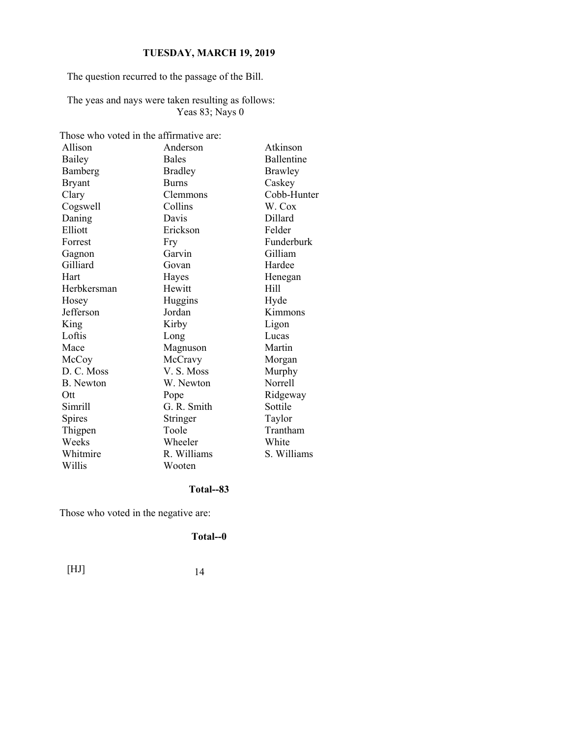The question recurred to the passage of the Bill.

The yeas and nays were taken resulting as follows: Yeas 83; Nays 0

Those who voted in the affirmative are:

| Allison       | Anderson       | Atkinson    |
|---------------|----------------|-------------|
| Bailey        | <b>Bales</b>   | Ballentine  |
| Bamberg       | <b>Bradley</b> | Brawley     |
| <b>Bryant</b> | <b>Burns</b>   | Caskey      |
| Clary         | Clemmons       | Cobb-Hunter |
| Cogswell      | Collins        | W. Cox      |
| Daning        | Davis          | Dillard     |
| Elliott       | Erickson       | Felder      |
| Forrest       | Fry            | Funderburk  |
| Gagnon        | Garvin         | Gilliam     |
| Gilliard      | Govan          | Hardee      |
| Hart          | Hayes          | Henegan     |
| Herbkersman   | Hewitt         | Hill        |
| Hosey         | Huggins        | Hyde        |
| Jefferson     | Jordan         | Kimmons     |
| King          | Kirby          | Ligon       |
| Loftis        | Long           | Lucas       |
| Mace          | Magnuson       | Martin      |
| McCoy         | McCravy        | Morgan      |
| D. C. Moss    | V.S. Moss      | Murphy      |
| B. Newton     | W. Newton      | Norrell     |
| Ott           | Pope           | Ridgeway    |
| Simrill       | G. R. Smith    | Sottile     |
| Spires        | Stringer       | Taylor      |
| Thigpen       | Toole          | Trantham    |
| Weeks         | Wheeler        | White       |
| Whitmire      | R. Williams    | S. Williams |
| Willis        | Wooten         |             |

### **Total--83**

Those who voted in the negative are:

**Total--0**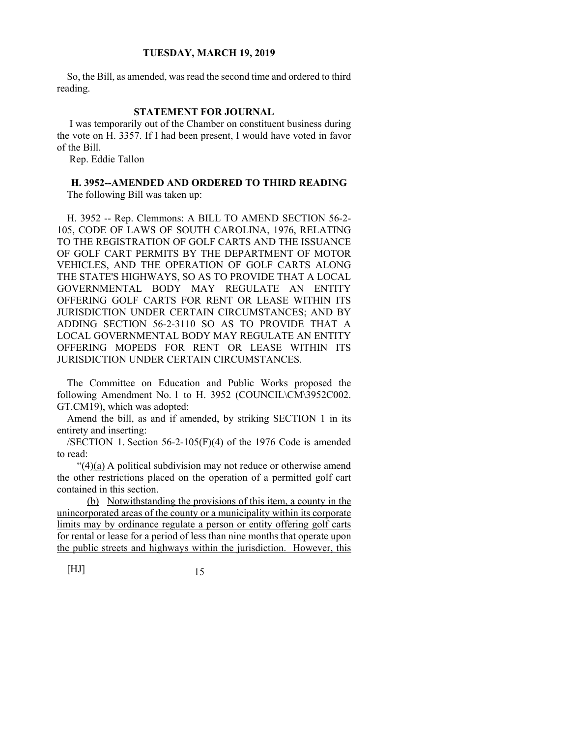So, the Bill, as amended, was read the second time and ordered to third reading.

### **STATEMENT FOR JOURNAL**

 I was temporarily out of the Chamber on constituent business during the vote on H. 3357. If I had been present, I would have voted in favor of the Bill.

Rep. Eddie Tallon

## **H. 3952--AMENDED AND ORDERED TO THIRD READING**

The following Bill was taken up:

H. 3952 -- Rep. Clemmons: A BILL TO AMEND SECTION 56-2- 105, CODE OF LAWS OF SOUTH CAROLINA, 1976, RELATING TO THE REGISTRATION OF GOLF CARTS AND THE ISSUANCE OF GOLF CART PERMITS BY THE DEPARTMENT OF MOTOR VEHICLES, AND THE OPERATION OF GOLF CARTS ALONG THE STATE'S HIGHWAYS, SO AS TO PROVIDE THAT A LOCAL GOVERNMENTAL BODY MAY REGULATE AN ENTITY OFFERING GOLF CARTS FOR RENT OR LEASE WITHIN ITS JURISDICTION UNDER CERTAIN CIRCUMSTANCES; AND BY ADDING SECTION 56-2-3110 SO AS TO PROVIDE THAT A LOCAL GOVERNMENTAL BODY MAY REGULATE AN ENTITY OFFERING MOPEDS FOR RENT OR LEASE WITHIN ITS JURISDICTION UNDER CERTAIN CIRCUMSTANCES.

The Committee on Education and Public Works proposed the following Amendment No. 1 to H. 3952 (COUNCIL\CM\3952C002. GT.CM19), which was adopted:

Amend the bill, as and if amended, by striking SECTION 1 in its entirety and inserting:

/SECTION 1. Section 56-2-105(F)(4) of the 1976 Code is amended to read:

" $(4)(a)$  A political subdivision may not reduce or otherwise amend the other restrictions placed on the operation of a permitted golf cart contained in this section.

 (b) Notwithstanding the provisions of this item, a county in the unincorporated areas of the county or a municipality within its corporate limits may by ordinance regulate a person or entity offering golf carts for rental or lease for a period of less than nine months that operate upon the public streets and highways within the jurisdiction. However, this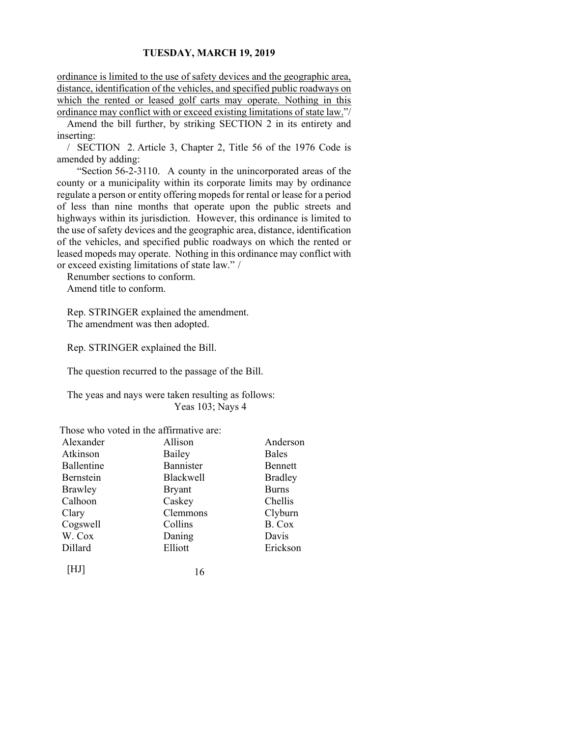ordinance is limited to the use of safety devices and the geographic area, distance, identification of the vehicles, and specified public roadways on which the rented or leased golf carts may operate. Nothing in this ordinance may conflict with or exceed existing limitations of state law."/

Amend the bill further, by striking SECTION 2 in its entirety and inserting:

/ SECTION 2. Article 3, Chapter 2, Title 56 of the 1976 Code is amended by adding:

 "Section 56-2-3110. A county in the unincorporated areas of the county or a municipality within its corporate limits may by ordinance regulate a person or entity offering mopeds for rental or lease for a period of less than nine months that operate upon the public streets and highways within its jurisdiction. However, this ordinance is limited to the use of safety devices and the geographic area, distance, identification of the vehicles, and specified public roadways on which the rented or leased mopeds may operate. Nothing in this ordinance may conflict with or exceed existing limitations of state law." /

Renumber sections to conform. Amend title to conform.

Rep. STRINGER explained the amendment. The amendment was then adopted.

Rep. STRINGER explained the Bill.

The question recurred to the passage of the Bill.

The yeas and nays were taken resulting as follows: Yeas 103; Nays 4

Those who voted in the affirmative are:

| Alexander  | Allison       | Anderson       |
|------------|---------------|----------------|
| Atkinson   | Bailey        | <b>Bales</b>   |
| Ballentine | Bannister     | Bennett        |
| Bernstein  | Blackwell     | <b>Bradley</b> |
| Brawley    | <b>Bryant</b> | <b>Burns</b>   |
| Calhoon    | Caskey        | Chellis        |
| Clary      | Clemmons      | Clyburn        |
| Cogswell   | Collins       | B. Cox         |
| W. Cox     | Daning        | Davis          |
| Dillard    | Elliott       | Erickson       |
|            | 16            |                |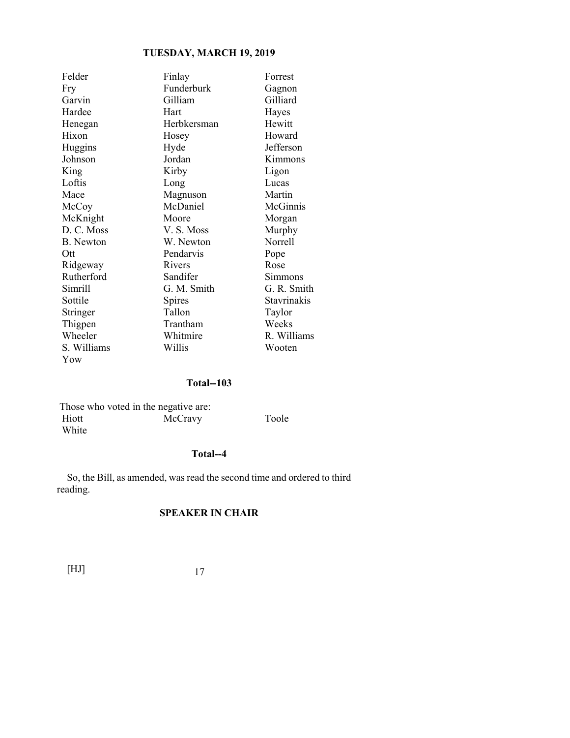| Felder           | Finlay      | Forrest            |
|------------------|-------------|--------------------|
| Fry              | Funderburk  | Gagnon             |
| Garvin           | Gilliam     | Gilliard           |
| Hardee           | Hart        | Hayes              |
| Henegan          | Herbkersman | Hewitt             |
| Hixon            | Hosey       | Howard             |
| Huggins          | Hyde        | Jefferson          |
| Johnson          | Jordan      | Kimmons            |
| King             | Kirby       | Ligon              |
| Loftis           | Long        | Lucas              |
| Mace             | Magnuson    | Martin             |
| McCoy            | McDaniel    | McGinnis           |
| McKnight         | Moore       | Morgan             |
| D. C. Moss       | V. S. Moss  | Murphy             |
| <b>B.</b> Newton | W. Newton   | Norrell            |
| Ott              | Pendarvis   | Pope               |
| Ridgeway         | Rivers      | Rose               |
| Rutherford       | Sandifer    | Simmons            |
| Simrill          | G. M. Smith | G. R. Smith        |
| Sottile          | Spires      | <b>Stavrinakis</b> |
| Stringer         | Tallon      | Taylor             |
| Thigpen          | Trantham    | Weeks              |
| Wheeler          | Whitmire    | R. Williams        |
| S. Williams      | Willis      | Wooten             |
| Yow              |             |                    |

### **Total--103**

|       | Those who voted in the negative are: |       |
|-------|--------------------------------------|-------|
| Hiott | McCravy                              | Toole |
| White |                                      |       |

### **Total--4**

So, the Bill, as amended, was read the second time and ordered to third reading.

## **SPEAKER IN CHAIR**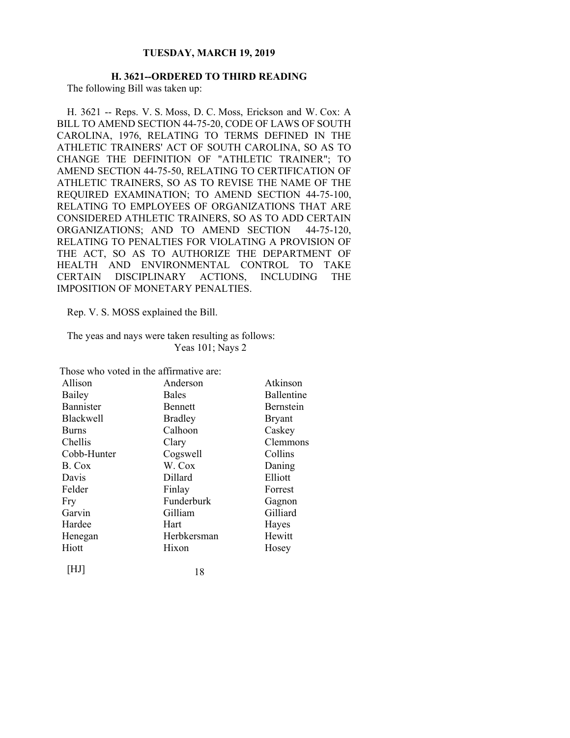### **H. 3621--ORDERED TO THIRD READING**  The following Bill was taken up:

H. 3621 -- Reps. V. S. Moss, D. C. Moss, Erickson and W. Cox: A BILL TO AMEND SECTION 44-75-20, CODE OF LAWS OF SOUTH CAROLINA, 1976, RELATING TO TERMS DEFINED IN THE ATHLETIC TRAINERS' ACT OF SOUTH CAROLINA, SO AS TO CHANGE THE DEFINITION OF "ATHLETIC TRAINER"; TO AMEND SECTION 44-75-50, RELATING TO CERTIFICATION OF ATHLETIC TRAINERS, SO AS TO REVISE THE NAME OF THE REQUIRED EXAMINATION; TO AMEND SECTION 44-75-100, RELATING TO EMPLOYEES OF ORGANIZATIONS THAT ARE CONSIDERED ATHLETIC TRAINERS, SO AS TO ADD CERTAIN ORGANIZATIONS; AND TO AMEND SECTION 44-75-120, RELATING TO PENALTIES FOR VIOLATING A PROVISION OF THE ACT, SO AS TO AUTHORIZE THE DEPARTMENT OF HEALTH AND ENVIRONMENTAL CONTROL TO TAKE CERTAIN DISCIPLINARY ACTIONS, INCLUDING THE IMPOSITION OF MONETARY PENALTIES.

Rep. V. S. MOSS explained the Bill.

The yeas and nays were taken resulting as follows: Yeas 101; Nays 2

| Those who voted in the affirmative are: |                |                   |
|-----------------------------------------|----------------|-------------------|
| Allison                                 | Anderson       | Atkinson          |
| Bailey                                  | <b>Bales</b>   | <b>Ballentine</b> |
| <b>Bannister</b>                        | <b>Bennett</b> | Bernstein         |
| <b>Blackwell</b>                        | <b>Bradley</b> | <b>Bryant</b>     |
| <b>Burns</b>                            | Calhoon        | Caskey            |
| Chellis                                 | Clary          | Clemmons          |
| Cobb-Hunter                             | Cogswell       | Collins           |
| B. Cox                                  | W. Cox         | Daning            |
| Davis                                   | Dillard        | Elliott           |
| Felder                                  | Finlay         | Forrest           |
| Fry                                     | Funderburk     | Gagnon            |
| Garvin                                  | Gilliam        | Gilliard          |
| Hardee                                  | Hart           | Hayes             |
| Henegan                                 | Herbkersman    | Hewitt            |
| Hiott                                   | Hixon          | Hosey             |
| HJ                                      | 18             |                   |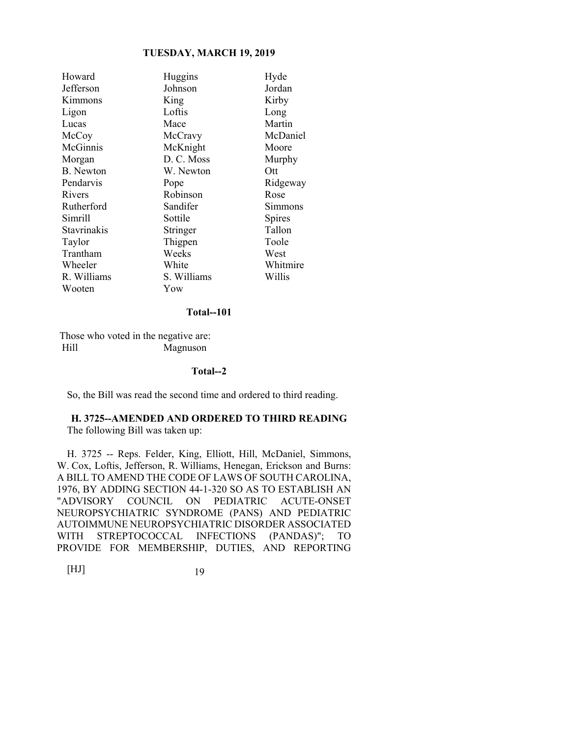| Howard           | Huggins     | Hyde          |
|------------------|-------------|---------------|
| Jefferson        | Johnson     | Jordan        |
| Kimmons          | King        | Kirby         |
| Ligon            | Loftis      | Long          |
| Lucas            | Mace        | Martin        |
| McCoy            | McCravy     | McDaniel      |
| McGinnis         | McKnight    | Moore         |
| Morgan           | D. C. Moss  | Murphy        |
| <b>B.</b> Newton | W. Newton   | Ott           |
| Pendarvis        | Pope        | Ridgeway      |
| Rivers           | Robinson    | Rose          |
| Rutherford       | Sandifer    | Simmons       |
| Simrill          | Sottile     | <b>Spires</b> |
| Stavrinakis      | Stringer    | Tallon        |
| Taylor           | Thigpen     | Toole         |
| Trantham         | Weeks       | West          |
| Wheeler          | White       | Whitmire      |
| R. Williams      | S. Williams | Willis        |
| Wooten           | Yow         |               |

#### **Total--101**

 Those who voted in the negative are: Hill Magnuson

### **Total--2**

So, the Bill was read the second time and ordered to third reading.

### **H. 3725--AMENDED AND ORDERED TO THIRD READING**  The following Bill was taken up:

H. 3725 -- Reps. Felder, King, Elliott, Hill, McDaniel, Simmons, W. Cox, Loftis, Jefferson, R. Williams, Henegan, Erickson and Burns: A BILL TO AMEND THE CODE OF LAWS OF SOUTH CAROLINA, 1976, BY ADDING SECTION 44-1-320 SO AS TO ESTABLISH AN "ADVISORY COUNCIL ON PEDIATRIC ACUTE-ONSET NEUROPSYCHIATRIC SYNDROME (PANS) AND PEDIATRIC AUTOIMMUNE NEUROPSYCHIATRIC DISORDER ASSOCIATED WITH STREPTOCOCCAL INFECTIONS (PANDAS)"; TO PROVIDE FOR MEMBERSHIP, DUTIES, AND REPORTING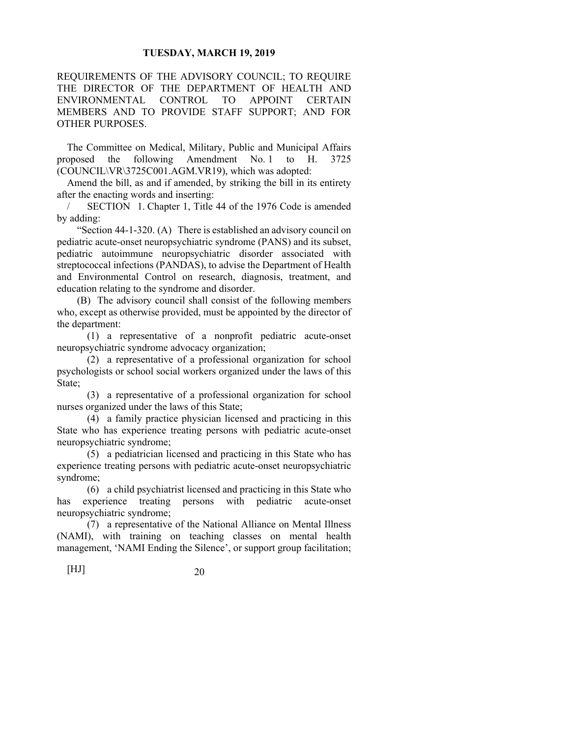REQUIREMENTS OF THE ADVISORY COUNCIL; TO REQUIRE THE DIRECTOR OF THE DEPARTMENT OF HEALTH AND ENVIRONMENTAL CONTROL TO APPOINT CERTAIN MEMBERS AND TO PROVIDE STAFF SUPPORT; AND FOR OTHER PURPOSES.

The Committee on Medical, Military, Public and Municipal Affairs proposed the following Amendment No. 1 to H. 3725 (COUNCIL\VR\3725C001.AGM.VR19), which was adopted:

Amend the bill, as and if amended, by striking the bill in its entirety after the enacting words and inserting:

SECTION 1. Chapter 1, Title 44 of the 1976 Code is amended by adding:

 "Section 44-1-320. (A) There is established an advisory council on pediatric acute-onset neuropsychiatric syndrome (PANS) and its subset, pediatric autoimmune neuropsychiatric disorder associated with streptococcal infections (PANDAS), to advise the Department of Health and Environmental Control on research, diagnosis, treatment, and education relating to the syndrome and disorder.

 (B) The advisory council shall consist of the following members who, except as otherwise provided, must be appointed by the director of the department:

 (1) a representative of a nonprofit pediatric acute-onset neuropsychiatric syndrome advocacy organization;

 (2) a representative of a professional organization for school psychologists or school social workers organized under the laws of this State;

 (3) a representative of a professional organization for school nurses organized under the laws of this State;

 (4) a family practice physician licensed and practicing in this State who has experience treating persons with pediatric acute-onset neuropsychiatric syndrome;

 (5) a pediatrician licensed and practicing in this State who has experience treating persons with pediatric acute-onset neuropsychiatric syndrome;

 (6) a child psychiatrist licensed and practicing in this State who has experience treating persons with pediatric acute-onset neuropsychiatric syndrome;

 (7) a representative of the National Alliance on Mental Illness (NAMI), with training on teaching classes on mental health management, 'NAMI Ending the Silence', or support group facilitation;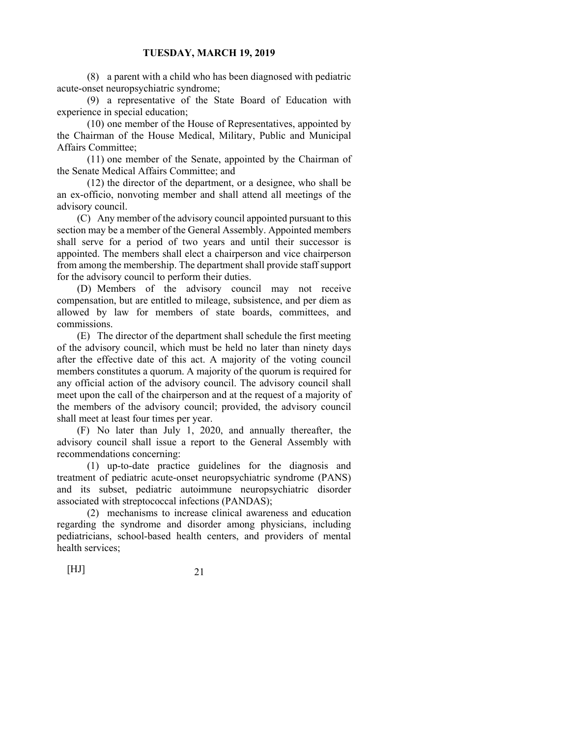(8) a parent with a child who has been diagnosed with pediatric acute-onset neuropsychiatric syndrome;

 (9) a representative of the State Board of Education with experience in special education;

 (10) one member of the House of Representatives, appointed by the Chairman of the House Medical, Military, Public and Municipal Affairs Committee;

 (11) one member of the Senate, appointed by the Chairman of the Senate Medical Affairs Committee; and

 (12) the director of the department, or a designee, who shall be an ex-officio, nonvoting member and shall attend all meetings of the advisory council.

 (C) Any member of the advisory council appointed pursuant to this section may be a member of the General Assembly. Appointed members shall serve for a period of two years and until their successor is appointed. The members shall elect a chairperson and vice chairperson from among the membership. The department shall provide staff support for the advisory council to perform their duties.

 (D) Members of the advisory council may not receive compensation, but are entitled to mileage, subsistence, and per diem as allowed by law for members of state boards, committees, and commissions.

 (E) The director of the department shall schedule the first meeting of the advisory council, which must be held no later than ninety days after the effective date of this act. A majority of the voting council members constitutes a quorum. A majority of the quorum is required for any official action of the advisory council. The advisory council shall meet upon the call of the chairperson and at the request of a majority of the members of the advisory council; provided, the advisory council shall meet at least four times per year.

 (F) No later than July 1, 2020, and annually thereafter, the advisory council shall issue a report to the General Assembly with recommendations concerning:

 (1) up-to-date practice guidelines for the diagnosis and treatment of pediatric acute-onset neuropsychiatric syndrome (PANS) and its subset, pediatric autoimmune neuropsychiatric disorder associated with streptococcal infections (PANDAS);

 (2) mechanisms to increase clinical awareness and education regarding the syndrome and disorder among physicians, including pediatricians, school-based health centers, and providers of mental health services;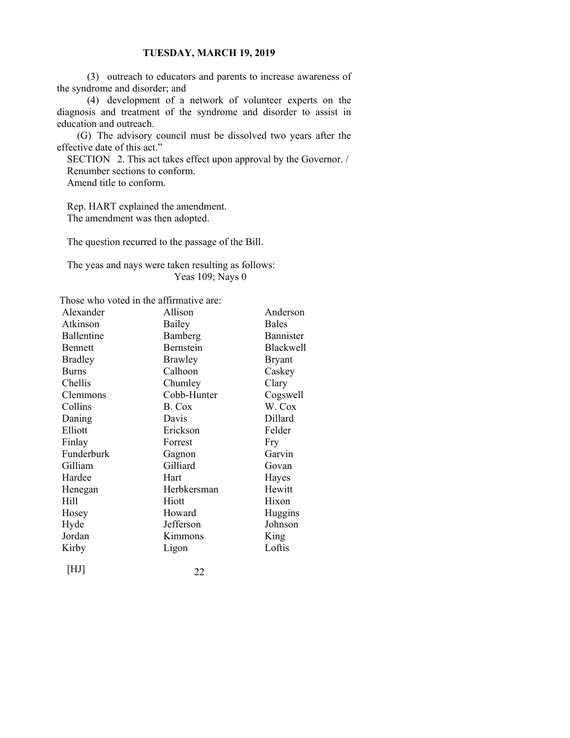(3) outreach to educators and parents to increase awareness of the syndrome and disorder; and

 (4) development of a network of volunteer experts on the diagnosis and treatment of the syndrome and disorder to assist in education and outreach.

 (G) The advisory council must be dissolved two years after the effective date of this act."

SECTION 2. This act takes effect upon approval by the Governor. / Renumber sections to conform. Amend title to conform.

Rep. HART explained the amendment. The amendment was then adopted.

The question recurred to the passage of the Bill.

The yeas and nays were taken resulting as follows: Yeas 109; Nays 0

Those who voted in the affirmative are:

| Alexander      | Allison     | Anderson      |
|----------------|-------------|---------------|
| Atkinson       | Bailey      | <b>Bales</b>  |
| Ballentine     | Bamberg     | Bannister     |
| <b>Bennett</b> | Bernstein   | Blackwell     |
| <b>Bradley</b> | Brawley     | <b>Bryant</b> |
| <b>Burns</b>   | Calhoon     | Caskey        |
| Chellis        | Chumley     | Clary         |
| Clemmons       | Cobb-Hunter | Cogswell      |
| Collins        | B. Cox      | W. Cox        |
| Daning         | Davis       | Dillard       |
| Elliott        | Erickson    | Felder        |
| Finlay         | Forrest     | Fry           |
| Funderburk     | Gagnon      | Garvin        |
| Gilliam        | Gilliard    | Govan         |
| Hardee         | Hart        | Hayes         |
| Henegan        | Herbkersman | Hewitt        |
| Hill           | Hiott       | Hixon         |
| Hosey          | Howard      | Huggins       |
| Hyde           | Jefferson   | Johnson       |
| Jordan         | Kimmons     | King          |
| Kirby          | Ligon       | Loftis        |
| [HJ]           | າາ          |               |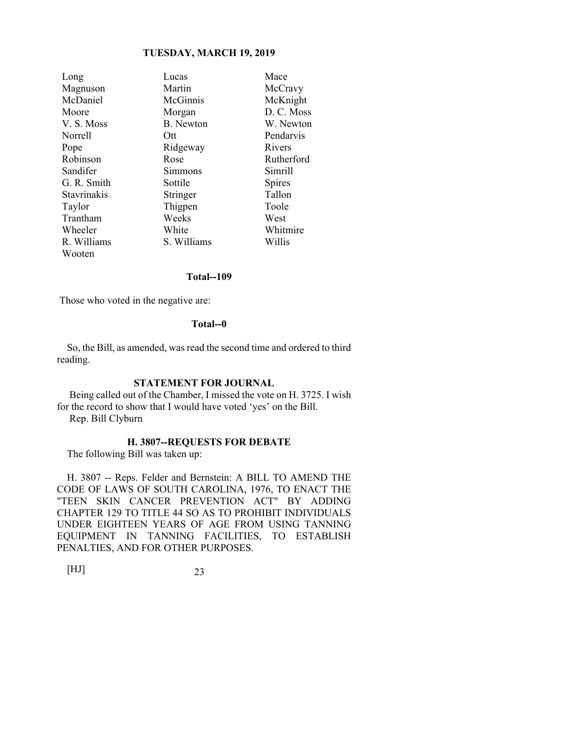| Long        | Lucas       | Mace          |
|-------------|-------------|---------------|
| Magnuson    | Martin      | McCravy       |
| McDaniel    | McGinnis    | McKnight      |
| Moore       | Morgan      | D. C. Moss    |
| V.S. Moss   | B. Newton   | W. Newton     |
| Norrell     | Ott         | Pendarvis     |
| Pope        | Ridgeway    | Rivers        |
| Robinson    | Rose        | Rutherford    |
| Sandifer    | Simmons     | Simrill       |
| G. R. Smith | Sottile     | <b>Spires</b> |
| Stavrinakis | Stringer    | Tallon        |
| Taylor      | Thigpen     | Toole         |
| Trantham    | Weeks       | West          |
| Wheeler     | White       | Whitmire      |
| R. Williams | S. Williams | Willis        |
| Wooten      |             |               |

### **Total--109**

Those who voted in the negative are:

### **Total--0**

So, the Bill, as amended, was read the second time and ordered to third reading.

### **STATEMENT FOR JOURNAL**

 Being called out of the Chamber, I missed the vote on H. 3725. I wish for the record to show that I would have voted 'yes' on the Bill.

Rep. Bill Clyburn

### **H. 3807--REQUESTS FOR DEBATE**

The following Bill was taken up:

H. 3807 -- Reps. Felder and Bernstein: A BILL TO AMEND THE CODE OF LAWS OF SOUTH CAROLINA, 1976, TO ENACT THE "TEEN SKIN CANCER PREVENTION ACT" BY ADDING CHAPTER 129 TO TITLE 44 SO AS TO PROHIBIT INDIVIDUALS UNDER EIGHTEEN YEARS OF AGE FROM USING TANNING EQUIPMENT IN TANNING FACILITIES, TO ESTABLISH PENALTIES, AND FOR OTHER PURPOSES.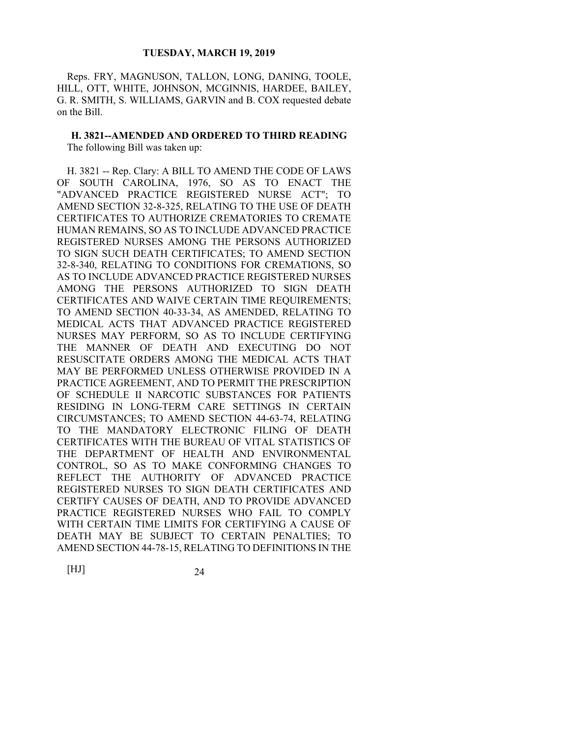Reps. FRY, MAGNUSON, TALLON, LONG, DANING, TOOLE, HILL, OTT, WHITE, JOHNSON, MCGINNIS, HARDEE, BAILEY, G. R. SMITH, S. WILLIAMS, GARVIN and B. COX requested debate on the Bill.

**H. 3821--AMENDED AND ORDERED TO THIRD READING**  The following Bill was taken up:

H. 3821 -- Rep. Clary: A BILL TO AMEND THE CODE OF LAWS OF SOUTH CAROLINA, 1976, SO AS TO ENACT THE "ADVANCED PRACTICE REGISTERED NURSE ACT"; TO AMEND SECTION 32-8-325, RELATING TO THE USE OF DEATH CERTIFICATES TO AUTHORIZE CREMATORIES TO CREMATE HUMAN REMAINS, SO AS TO INCLUDE ADVANCED PRACTICE REGISTERED NURSES AMONG THE PERSONS AUTHORIZED TO SIGN SUCH DEATH CERTIFICATES; TO AMEND SECTION 32-8-340, RELATING TO CONDITIONS FOR CREMATIONS, SO AS TO INCLUDE ADVANCED PRACTICE REGISTERED NURSES AMONG THE PERSONS AUTHORIZED TO SIGN DEATH CERTIFICATES AND WAIVE CERTAIN TIME REQUIREMENTS; TO AMEND SECTION 40-33-34, AS AMENDED, RELATING TO MEDICAL ACTS THAT ADVANCED PRACTICE REGISTERED NURSES MAY PERFORM, SO AS TO INCLUDE CERTIFYING THE MANNER OF DEATH AND EXECUTING DO NOT RESUSCITATE ORDERS AMONG THE MEDICAL ACTS THAT MAY BE PERFORMED UNLESS OTHERWISE PROVIDED IN A PRACTICE AGREEMENT, AND TO PERMIT THE PRESCRIPTION OF SCHEDULE II NARCOTIC SUBSTANCES FOR PATIENTS RESIDING IN LONG-TERM CARE SETTINGS IN CERTAIN CIRCUMSTANCES; TO AMEND SECTION 44-63-74, RELATING TO THE MANDATORY ELECTRONIC FILING OF DEATH CERTIFICATES WITH THE BUREAU OF VITAL STATISTICS OF THE DEPARTMENT OF HEALTH AND ENVIRONMENTAL CONTROL, SO AS TO MAKE CONFORMING CHANGES TO REFLECT THE AUTHORITY OF ADVANCED PRACTICE REGISTERED NURSES TO SIGN DEATH CERTIFICATES AND CERTIFY CAUSES OF DEATH, AND TO PROVIDE ADVANCED PRACTICE REGISTERED NURSES WHO FAIL TO COMPLY WITH CERTAIN TIME LIMITS FOR CERTIFYING A CAUSE OF DEATH MAY BE SUBJECT TO CERTAIN PENALTIES; TO AMEND SECTION 44-78-15, RELATING TO DEFINITIONS IN THE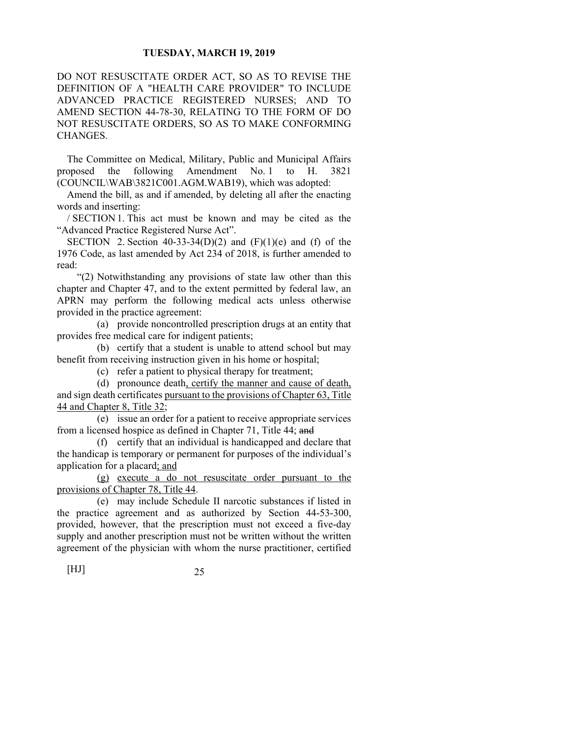DO NOT RESUSCITATE ORDER ACT, SO AS TO REVISE THE DEFINITION OF A "HEALTH CARE PROVIDER" TO INCLUDE ADVANCED PRACTICE REGISTERED NURSES; AND TO AMEND SECTION 44-78-30, RELATING TO THE FORM OF DO NOT RESUSCITATE ORDERS, SO AS TO MAKE CONFORMING CHANGES.

The Committee on Medical, Military, Public and Municipal Affairs proposed the following Amendment No. 1 to H. 3821 (COUNCIL\WAB\3821C001.AGM.WAB19), which was adopted:

Amend the bill, as and if amended, by deleting all after the enacting words and inserting:

/ SECTION 1. This act must be known and may be cited as the "Advanced Practice Registered Nurse Act".

SECTION 2. Section 40-33-34(D)(2) and  $(F)(1)(e)$  and  $(f)$  of the 1976 Code, as last amended by Act 234 of 2018, is further amended to read:

 "(2) Notwithstanding any provisions of state law other than this chapter and Chapter 47, and to the extent permitted by federal law, an APRN may perform the following medical acts unless otherwise provided in the practice agreement:

 (a) provide noncontrolled prescription drugs at an entity that provides free medical care for indigent patients;

 (b) certify that a student is unable to attend school but may benefit from receiving instruction given in his home or hospital;

(c) refer a patient to physical therapy for treatment;

 (d) pronounce death, certify the manner and cause of death, and sign death certificates pursuant to the provisions of Chapter 63, Title 44 and Chapter 8, Title 32;

 (e) issue an order for a patient to receive appropriate services from a licensed hospice as defined in Chapter 71, Title 44; and

 (f) certify that an individual is handicapped and declare that the handicap is temporary or permanent for purposes of the individual's application for a placard; and

 (g) execute a do not resuscitate order pursuant to the provisions of Chapter 78, Title 44.

 (e) may include Schedule II narcotic substances if listed in the practice agreement and as authorized by Section 44-53-300, provided, however, that the prescription must not exceed a five-day supply and another prescription must not be written without the written agreement of the physician with whom the nurse practitioner, certified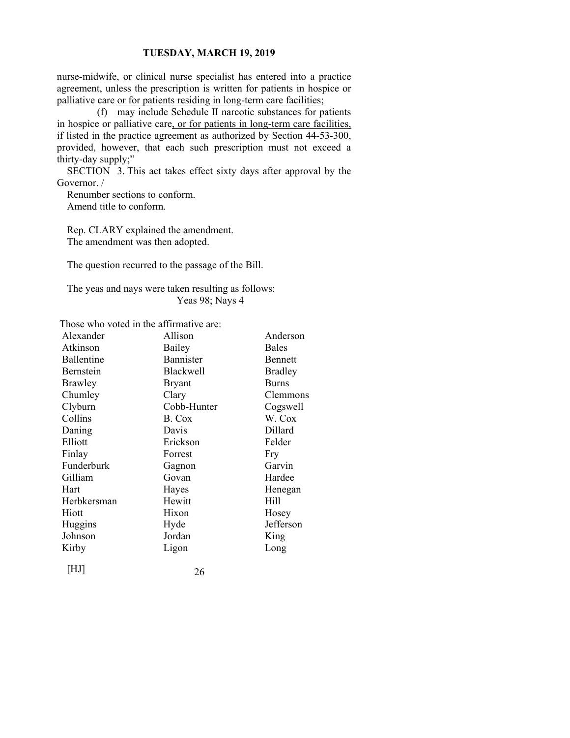nurse-midwife, or clinical nurse specialist has entered into a practice agreement, unless the prescription is written for patients in hospice or palliative care or for patients residing in long-term care facilities;

 (f) may include Schedule II narcotic substances for patients in hospice or palliative care, or for patients in long-term care facilities, if listed in the practice agreement as authorized by Section 44-53-300, provided, however, that each such prescription must not exceed a thirty-day supply;"

SECTION 3. This act takes effect sixty days after approval by the Governor. /

Renumber sections to conform. Amend title to conform.

Rep. CLARY explained the amendment. The amendment was then adopted.

The question recurred to the passage of the Bill.

The yeas and nays were taken resulting as follows: Yeas 98; Nays 4

Those who voted in the affirmative are:

| Alexander   | Allison          | Anderson       |
|-------------|------------------|----------------|
| Atkinson    | Bailey           | <b>Bales</b>   |
| Ballentine  | Bannister        | <b>Bennett</b> |
| Bernstein   | <b>Blackwell</b> | <b>Bradley</b> |
| Brawley     | <b>Bryant</b>    | <b>Burns</b>   |
| Chumley     | Clary            | Clemmons       |
| Clyburn     | Cobb-Hunter      | Cogswell       |
| Collins     | B. Cox           | W. Cox         |
| Daning      | Davis            | Dillard        |
| Elliott     | Erickson         | Felder         |
| Finlay      | Forrest          | Fry            |
| Funderburk  | Gagnon           | Garvin         |
| Gilliam     | Govan            | Hardee         |
| Hart        | Hayes            | Henegan        |
| Herbkersman | Hewitt           | Hill           |
| Hiott       | Hixon            | Hosey          |
| Huggins     | Hyde             | Jefferson      |
| Johnson     | Jordan           | King           |
| Kirby       | Ligon            | Long           |
|             |                  |                |

| $[\mathrm{HJ}]$ | 26 |
|-----------------|----|
|-----------------|----|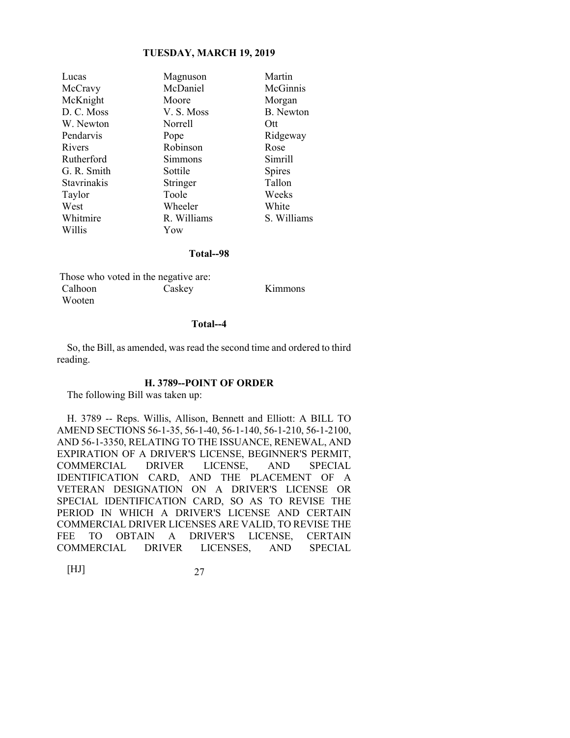| Magnuson    | Martin           |
|-------------|------------------|
| McDaniel    | McGinnis         |
| Moore       | Morgan           |
| V.S. Moss   | <b>B.</b> Newton |
| Norrell     | Ott              |
| Pope        | Ridgeway         |
| Robinson    | Rose             |
| Simmons     | Simrill          |
| Sottile     | <b>Spires</b>    |
| Stringer    | Tallon           |
| Toole       | Weeks            |
| Wheeler     | White            |
| R. Williams | S. Williams      |
| Yow         |                  |
|             |                  |

#### **Total--98**

|         | Those who voted in the negative are: |         |
|---------|--------------------------------------|---------|
| Calhoon | Caskey                               | Kimmons |
| Wooten  |                                      |         |

### **Total--4**

So, the Bill, as amended, was read the second time and ordered to third reading.

#### **H. 3789--POINT OF ORDER**

The following Bill was taken up:

H. 3789 -- Reps. Willis, Allison, Bennett and Elliott: A BILL TO AMEND SECTIONS 56-1-35, 56-1-40, 56-1-140, 56-1-210, 56-1-2100, AND 56-1-3350, RELATING TO THE ISSUANCE, RENEWAL, AND EXPIRATION OF A DRIVER'S LICENSE, BEGINNER'S PERMIT, COMMERCIAL DRIVER LICENSE, AND SPECIAL IDENTIFICATION CARD, AND THE PLACEMENT OF A VETERAN DESIGNATION ON A DRIVER'S LICENSE OR SPECIAL IDENTIFICATION CARD, SO AS TO REVISE THE PERIOD IN WHICH A DRIVER'S LICENSE AND CERTAIN COMMERCIAL DRIVER LICENSES ARE VALID, TO REVISE THE FEE TO OBTAIN A DRIVER'S LICENSE, CERTAIN COMMERCIAL DRIVER LICENSES, AND SPECIAL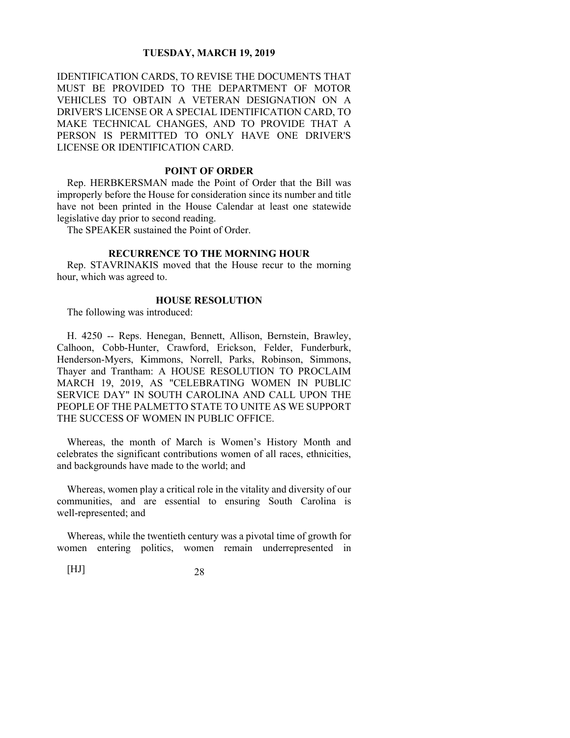IDENTIFICATION CARDS, TO REVISE THE DOCUMENTS THAT MUST BE PROVIDED TO THE DEPARTMENT OF MOTOR VEHICLES TO OBTAIN A VETERAN DESIGNATION ON A DRIVER'S LICENSE OR A SPECIAL IDENTIFICATION CARD, TO MAKE TECHNICAL CHANGES, AND TO PROVIDE THAT A PERSON IS PERMITTED TO ONLY HAVE ONE DRIVER'S LICENSE OR IDENTIFICATION CARD.

### **POINT OF ORDER**

Rep. HERBKERSMAN made the Point of Order that the Bill was improperly before the House for consideration since its number and title have not been printed in the House Calendar at least one statewide legislative day prior to second reading.

The SPEAKER sustained the Point of Order.

### **RECURRENCE TO THE MORNING HOUR**

Rep. STAVRINAKIS moved that the House recur to the morning hour, which was agreed to.

#### **HOUSE RESOLUTION**

The following was introduced:

H. 4250 -- Reps. Henegan, Bennett, Allison, Bernstein, Brawley, Calhoon, Cobb-Hunter, Crawford, Erickson, Felder, Funderburk, Henderson-Myers, Kimmons, Norrell, Parks, Robinson, Simmons, Thayer and Trantham: A HOUSE RESOLUTION TO PROCLAIM MARCH 19, 2019, AS "CELEBRATING WOMEN IN PUBLIC SERVICE DAY" IN SOUTH CAROLINA AND CALL UPON THE PEOPLE OF THE PALMETTO STATE TO UNITE AS WE SUPPORT THE SUCCESS OF WOMEN IN PUBLIC OFFICE.

Whereas, the month of March is Women's History Month and celebrates the significant contributions women of all races, ethnicities, and backgrounds have made to the world; and

Whereas, women play a critical role in the vitality and diversity of our communities, and are essential to ensuring South Carolina is well-represented; and

Whereas, while the twentieth century was a pivotal time of growth for women entering politics, women remain underrepresented in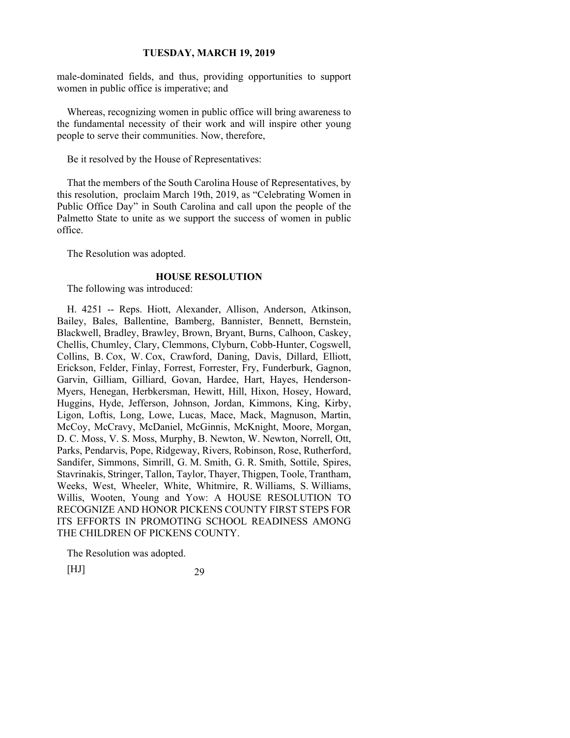male-dominated fields, and thus, providing opportunities to support women in public office is imperative; and

Whereas, recognizing women in public office will bring awareness to the fundamental necessity of their work and will inspire other young people to serve their communities. Now, therefore,

Be it resolved by the House of Representatives:

That the members of the South Carolina House of Representatives, by this resolution, proclaim March 19th, 2019, as "Celebrating Women in Public Office Day" in South Carolina and call upon the people of the Palmetto State to unite as we support the success of women in public office.

The Resolution was adopted.

### **HOUSE RESOLUTION**

The following was introduced:

H. 4251 -- Reps. Hiott, Alexander, Allison, Anderson, Atkinson, Bailey, Bales, Ballentine, Bamberg, Bannister, Bennett, Bernstein, Blackwell, Bradley, Brawley, Brown, Bryant, Burns, Calhoon, Caskey, Chellis, Chumley, Clary, Clemmons, Clyburn, Cobb-Hunter, Cogswell, Collins, B. Cox, W. Cox, Crawford, Daning, Davis, Dillard, Elliott, Erickson, Felder, Finlay, Forrest, Forrester, Fry, Funderburk, Gagnon, Garvin, Gilliam, Gilliard, Govan, Hardee, Hart, Hayes, Henderson-Myers, Henegan, Herbkersman, Hewitt, Hill, Hixon, Hosey, Howard, Huggins, Hyde, Jefferson, Johnson, Jordan, Kimmons, King, Kirby, Ligon, Loftis, Long, Lowe, Lucas, Mace, Mack, Magnuson, Martin, McCoy, McCravy, McDaniel, McGinnis, McKnight, Moore, Morgan, D. C. Moss, V. S. Moss, Murphy, B. Newton, W. Newton, Norrell, Ott, Parks, Pendarvis, Pope, Ridgeway, Rivers, Robinson, Rose, Rutherford, Sandifer, Simmons, Simrill, G. M. Smith, G. R. Smith, Sottile, Spires, Stavrinakis, Stringer, Tallon, Taylor, Thayer, Thigpen, Toole, Trantham, Weeks, West, Wheeler, White, Whitmire, R. Williams, S. Williams, Willis, Wooten, Young and Yow: A HOUSE RESOLUTION TO RECOGNIZE AND HONOR PICKENS COUNTY FIRST STEPS FOR ITS EFFORTS IN PROMOTING SCHOOL READINESS AMONG THE CHILDREN OF PICKENS COUNTY.

The Resolution was adopted.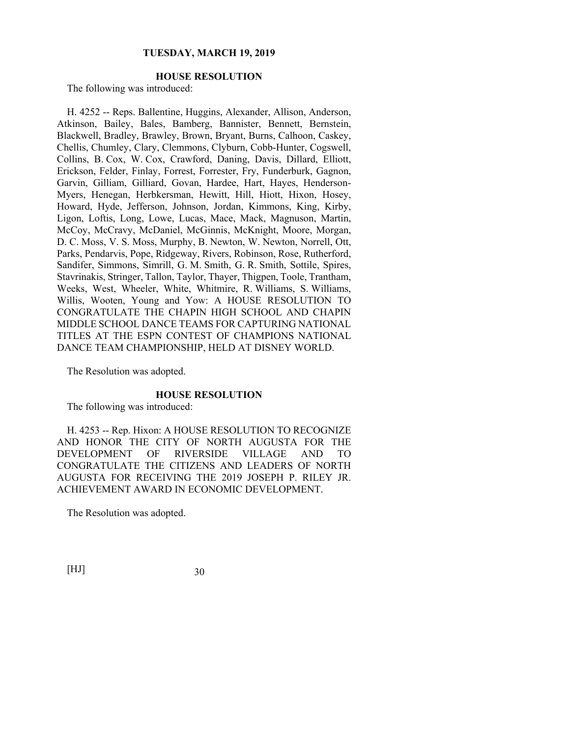### **HOUSE RESOLUTION**

The following was introduced:

H. 4252 -- Reps. Ballentine, Huggins, Alexander, Allison, Anderson, Atkinson, Bailey, Bales, Bamberg, Bannister, Bennett, Bernstein, Blackwell, Bradley, Brawley, Brown, Bryant, Burns, Calhoon, Caskey, Chellis, Chumley, Clary, Clemmons, Clyburn, Cobb-Hunter, Cogswell, Collins, B. Cox, W. Cox, Crawford, Daning, Davis, Dillard, Elliott, Erickson, Felder, Finlay, Forrest, Forrester, Fry, Funderburk, Gagnon, Garvin, Gilliam, Gilliard, Govan, Hardee, Hart, Hayes, Henderson-Myers, Henegan, Herbkersman, Hewitt, Hill, Hiott, Hixon, Hosey, Howard, Hyde, Jefferson, Johnson, Jordan, Kimmons, King, Kirby, Ligon, Loftis, Long, Lowe, Lucas, Mace, Mack, Magnuson, Martin, McCoy, McCravy, McDaniel, McGinnis, McKnight, Moore, Morgan, D. C. Moss, V. S. Moss, Murphy, B. Newton, W. Newton, Norrell, Ott, Parks, Pendarvis, Pope, Ridgeway, Rivers, Robinson, Rose, Rutherford, Sandifer, Simmons, Simrill, G. M. Smith, G. R. Smith, Sottile, Spires, Stavrinakis, Stringer, Tallon, Taylor, Thayer, Thigpen, Toole, Trantham, Weeks, West, Wheeler, White, Whitmire, R. Williams, S. Williams, Willis, Wooten, Young and Yow: A HOUSE RESOLUTION TO CONGRATULATE THE CHAPIN HIGH SCHOOL AND CHAPIN MIDDLE SCHOOL DANCE TEAMS FOR CAPTURING NATIONAL TITLES AT THE ESPN CONTEST OF CHAMPIONS NATIONAL DANCE TEAM CHAMPIONSHIP, HELD AT DISNEY WORLD.

The Resolution was adopted.

### **HOUSE RESOLUTION**

The following was introduced:

H. 4253 -- Rep. Hixon: A HOUSE RESOLUTION TO RECOGNIZE AND HONOR THE CITY OF NORTH AUGUSTA FOR THE DEVELOPMENT OF RIVERSIDE VILLAGE AND TO CONGRATULATE THE CITIZENS AND LEADERS OF NORTH AUGUSTA FOR RECEIVING THE 2019 JOSEPH P. RILEY JR. ACHIEVEMENT AWARD IN ECONOMIC DEVELOPMENT.

The Resolution was adopted.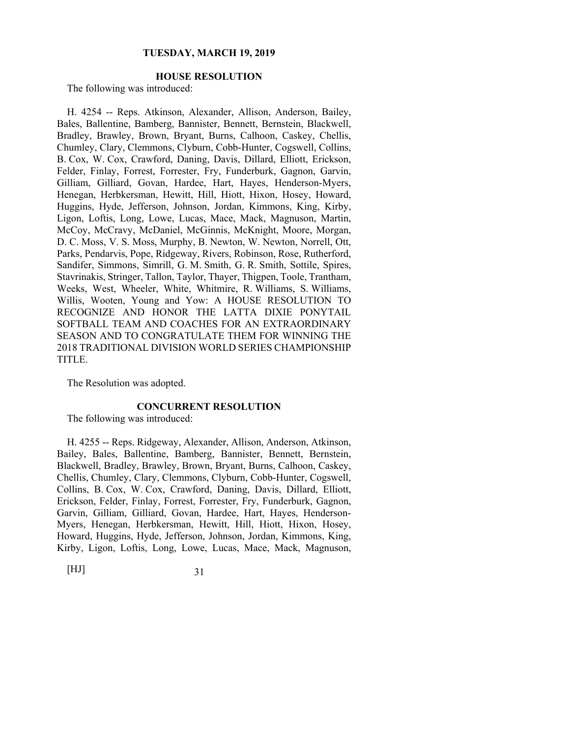### **HOUSE RESOLUTION**

The following was introduced:

H. 4254 -- Reps. Atkinson, Alexander, Allison, Anderson, Bailey, Bales, Ballentine, Bamberg, Bannister, Bennett, Bernstein, Blackwell, Bradley, Brawley, Brown, Bryant, Burns, Calhoon, Caskey, Chellis, Chumley, Clary, Clemmons, Clyburn, Cobb-Hunter, Cogswell, Collins, B. Cox, W. Cox, Crawford, Daning, Davis, Dillard, Elliott, Erickson, Felder, Finlay, Forrest, Forrester, Fry, Funderburk, Gagnon, Garvin, Gilliam, Gilliard, Govan, Hardee, Hart, Hayes, Henderson-Myers, Henegan, Herbkersman, Hewitt, Hill, Hiott, Hixon, Hosey, Howard, Huggins, Hyde, Jefferson, Johnson, Jordan, Kimmons, King, Kirby, Ligon, Loftis, Long, Lowe, Lucas, Mace, Mack, Magnuson, Martin, McCoy, McCravy, McDaniel, McGinnis, McKnight, Moore, Morgan, D. C. Moss, V. S. Moss, Murphy, B. Newton, W. Newton, Norrell, Ott, Parks, Pendarvis, Pope, Ridgeway, Rivers, Robinson, Rose, Rutherford, Sandifer, Simmons, Simrill, G. M. Smith, G. R. Smith, Sottile, Spires, Stavrinakis, Stringer, Tallon, Taylor, Thayer, Thigpen, Toole, Trantham, Weeks, West, Wheeler, White, Whitmire, R. Williams, S. Williams, Willis, Wooten, Young and Yow: A HOUSE RESOLUTION TO RECOGNIZE AND HONOR THE LATTA DIXIE PONYTAIL SOFTBALL TEAM AND COACHES FOR AN EXTRAORDINARY SEASON AND TO CONGRATULATE THEM FOR WINNING THE 2018 TRADITIONAL DIVISION WORLD SERIES CHAMPIONSHIP TITLE.

The Resolution was adopted.

### **CONCURRENT RESOLUTION**

The following was introduced:

H. 4255 -- Reps. Ridgeway, Alexander, Allison, Anderson, Atkinson, Bailey, Bales, Ballentine, Bamberg, Bannister, Bennett, Bernstein, Blackwell, Bradley, Brawley, Brown, Bryant, Burns, Calhoon, Caskey, Chellis, Chumley, Clary, Clemmons, Clyburn, Cobb-Hunter, Cogswell, Collins, B. Cox, W. Cox, Crawford, Daning, Davis, Dillard, Elliott, Erickson, Felder, Finlay, Forrest, Forrester, Fry, Funderburk, Gagnon, Garvin, Gilliam, Gilliard, Govan, Hardee, Hart, Hayes, Henderson-Myers, Henegan, Herbkersman, Hewitt, Hill, Hiott, Hixon, Hosey, Howard, Huggins, Hyde, Jefferson, Johnson, Jordan, Kimmons, King, Kirby, Ligon, Loftis, Long, Lowe, Lucas, Mace, Mack, Magnuson,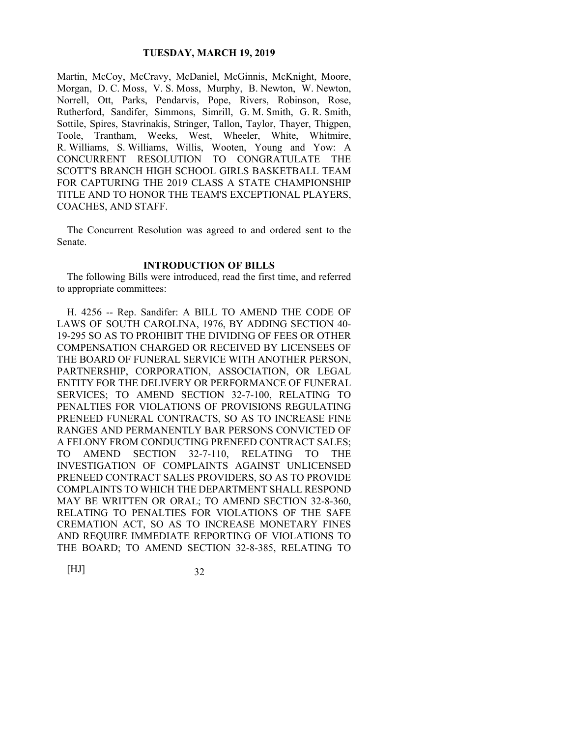Martin, McCoy, McCravy, McDaniel, McGinnis, McKnight, Moore, Morgan, D. C. Moss, V. S. Moss, Murphy, B. Newton, W. Newton, Norrell, Ott, Parks, Pendarvis, Pope, Rivers, Robinson, Rose, Rutherford, Sandifer, Simmons, Simrill, G. M. Smith, G. R. Smith, Sottile, Spires, Stavrinakis, Stringer, Tallon, Taylor, Thayer, Thigpen, Toole, Trantham, Weeks, West, Wheeler, White, Whitmire, R. Williams, S. Williams, Willis, Wooten, Young and Yow: A CONCURRENT RESOLUTION TO CONGRATULATE THE SCOTT'S BRANCH HIGH SCHOOL GIRLS BASKETBALL TEAM FOR CAPTURING THE 2019 CLASS A STATE CHAMPIONSHIP TITLE AND TO HONOR THE TEAM'S EXCEPTIONAL PLAYERS, COACHES, AND STAFF.

The Concurrent Resolution was agreed to and ordered sent to the Senate.

### **INTRODUCTION OF BILLS**

The following Bills were introduced, read the first time, and referred to appropriate committees:

H. 4256 -- Rep. Sandifer: A BILL TO AMEND THE CODE OF LAWS OF SOUTH CAROLINA, 1976, BY ADDING SECTION 40- 19-295 SO AS TO PROHIBIT THE DIVIDING OF FEES OR OTHER COMPENSATION CHARGED OR RECEIVED BY LICENSEES OF THE BOARD OF FUNERAL SERVICE WITH ANOTHER PERSON, PARTNERSHIP, CORPORATION, ASSOCIATION, OR LEGAL ENTITY FOR THE DELIVERY OR PERFORMANCE OF FUNERAL SERVICES; TO AMEND SECTION 32-7-100, RELATING TO PENALTIES FOR VIOLATIONS OF PROVISIONS REGULATING PRENEED FUNERAL CONTRACTS, SO AS TO INCREASE FINE RANGES AND PERMANENTLY BAR PERSONS CONVICTED OF A FELONY FROM CONDUCTING PRENEED CONTRACT SALES; TO AMEND SECTION 32-7-110, RELATING TO THE INVESTIGATION OF COMPLAINTS AGAINST UNLICENSED PRENEED CONTRACT SALES PROVIDERS, SO AS TO PROVIDE COMPLAINTS TO WHICH THE DEPARTMENT SHALL RESPOND MAY BE WRITTEN OR ORAL; TO AMEND SECTION 32-8-360, RELATING TO PENALTIES FOR VIOLATIONS OF THE SAFE CREMATION ACT, SO AS TO INCREASE MONETARY FINES AND REQUIRE IMMEDIATE REPORTING OF VIOLATIONS TO THE BOARD; TO AMEND SECTION 32-8-385, RELATING TO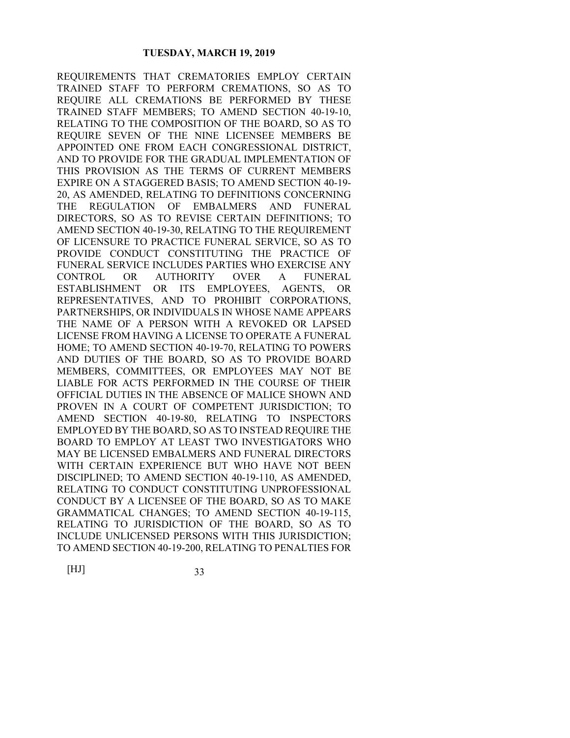REQUIREMENTS THAT CREMATORIES EMPLOY CERTAIN TRAINED STAFF TO PERFORM CREMATIONS, SO AS TO REQUIRE ALL CREMATIONS BE PERFORMED BY THESE TRAINED STAFF MEMBERS; TO AMEND SECTION 40-19-10, RELATING TO THE COMPOSITION OF THE BOARD, SO AS TO REQUIRE SEVEN OF THE NINE LICENSEE MEMBERS BE APPOINTED ONE FROM EACH CONGRESSIONAL DISTRICT, AND TO PROVIDE FOR THE GRADUAL IMPLEMENTATION OF THIS PROVISION AS THE TERMS OF CURRENT MEMBERS EXPIRE ON A STAGGERED BASIS; TO AMEND SECTION 40-19- 20, AS AMENDED, RELATING TO DEFINITIONS CONCERNING THE REGULATION OF EMBALMERS AND FUNERAL DIRECTORS, SO AS TO REVISE CERTAIN DEFINITIONS; TO AMEND SECTION 40-19-30, RELATING TO THE REQUIREMENT OF LICENSURE TO PRACTICE FUNERAL SERVICE, SO AS TO PROVIDE CONDUCT CONSTITUTING THE PRACTICE OF FUNERAL SERVICE INCLUDES PARTIES WHO EXERCISE ANY CONTROL OR AUTHORITY OVER A FUNERAL ESTABLISHMENT OR ITS EMPLOYEES, AGENTS, OR REPRESENTATIVES, AND TO PROHIBIT CORPORATIONS, PARTNERSHIPS, OR INDIVIDUALS IN WHOSE NAME APPEARS THE NAME OF A PERSON WITH A REVOKED OR LAPSED LICENSE FROM HAVING A LICENSE TO OPERATE A FUNERAL HOME; TO AMEND SECTION 40-19-70, RELATING TO POWERS AND DUTIES OF THE BOARD, SO AS TO PROVIDE BOARD MEMBERS, COMMITTEES, OR EMPLOYEES MAY NOT BE LIABLE FOR ACTS PERFORMED IN THE COURSE OF THEIR OFFICIAL DUTIES IN THE ABSENCE OF MALICE SHOWN AND PROVEN IN A COURT OF COMPETENT JURISDICTION; TO AMEND SECTION 40-19-80, RELATING TO INSPECTORS EMPLOYED BY THE BOARD, SO AS TO INSTEAD REQUIRE THE BOARD TO EMPLOY AT LEAST TWO INVESTIGATORS WHO MAY BE LICENSED EMBALMERS AND FUNERAL DIRECTORS WITH CERTAIN EXPERIENCE BUT WHO HAVE NOT BEEN DISCIPLINED; TO AMEND SECTION 40-19-110, AS AMENDED, RELATING TO CONDUCT CONSTITUTING UNPROFESSIONAL CONDUCT BY A LICENSEE OF THE BOARD, SO AS TO MAKE GRAMMATICAL CHANGES; TO AMEND SECTION 40-19-115, RELATING TO JURISDICTION OF THE BOARD, SO AS TO INCLUDE UNLICENSED PERSONS WITH THIS JURISDICTION; TO AMEND SECTION 40-19-200, RELATING TO PENALTIES FOR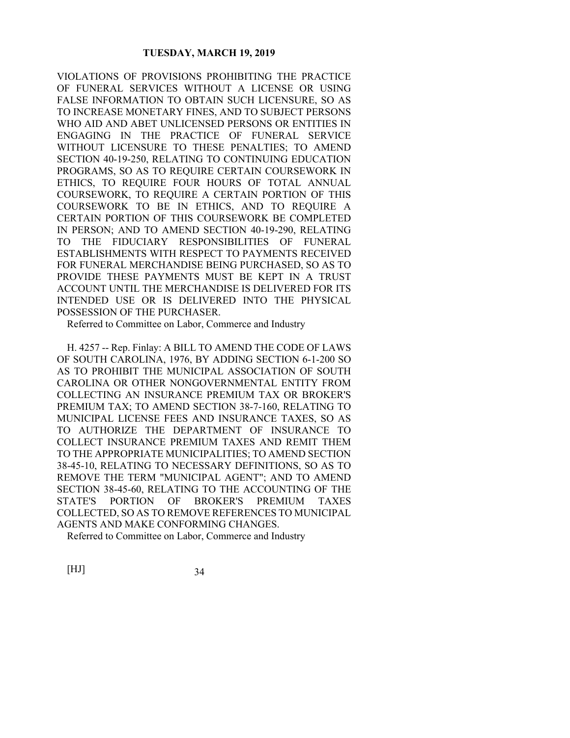VIOLATIONS OF PROVISIONS PROHIBITING THE PRACTICE OF FUNERAL SERVICES WITHOUT A LICENSE OR USING FALSE INFORMATION TO OBTAIN SUCH LICENSURE, SO AS TO INCREASE MONETARY FINES, AND TO SUBJECT PERSONS WHO AID AND ABET UNLICENSED PERSONS OR ENTITIES IN ENGAGING IN THE PRACTICE OF FUNERAL SERVICE WITHOUT LICENSURE TO THESE PENALTIES; TO AMEND SECTION 40-19-250, RELATING TO CONTINUING EDUCATION PROGRAMS, SO AS TO REQUIRE CERTAIN COURSEWORK IN ETHICS, TO REQUIRE FOUR HOURS OF TOTAL ANNUAL COURSEWORK, TO REQUIRE A CERTAIN PORTION OF THIS COURSEWORK TO BE IN ETHICS, AND TO REQUIRE A CERTAIN PORTION OF THIS COURSEWORK BE COMPLETED IN PERSON; AND TO AMEND SECTION 40-19-290, RELATING TO THE FIDUCIARY RESPONSIBILITIES OF FUNERAL ESTABLISHMENTS WITH RESPECT TO PAYMENTS RECEIVED FOR FUNERAL MERCHANDISE BEING PURCHASED, SO AS TO PROVIDE THESE PAYMENTS MUST BE KEPT IN A TRUST ACCOUNT UNTIL THE MERCHANDISE IS DELIVERED FOR ITS INTENDED USE OR IS DELIVERED INTO THE PHYSICAL POSSESSION OF THE PURCHASER.

Referred to Committee on Labor, Commerce and Industry

H. 4257 -- Rep. Finlay: A BILL TO AMEND THE CODE OF LAWS OF SOUTH CAROLINA, 1976, BY ADDING SECTION 6-1-200 SO AS TO PROHIBIT THE MUNICIPAL ASSOCIATION OF SOUTH CAROLINA OR OTHER NONGOVERNMENTAL ENTITY FROM COLLECTING AN INSURANCE PREMIUM TAX OR BROKER'S PREMIUM TAX; TO AMEND SECTION 38-7-160, RELATING TO MUNICIPAL LICENSE FEES AND INSURANCE TAXES, SO AS TO AUTHORIZE THE DEPARTMENT OF INSURANCE TO COLLECT INSURANCE PREMIUM TAXES AND REMIT THEM TO THE APPROPRIATE MUNICIPALITIES; TO AMEND SECTION 38-45-10, RELATING TO NECESSARY DEFINITIONS, SO AS TO REMOVE THE TERM "MUNICIPAL AGENT"; AND TO AMEND SECTION 38-45-60, RELATING TO THE ACCOUNTING OF THE STATE'S PORTION OF BROKER'S PREMIUM TAXES COLLECTED, SO AS TO REMOVE REFERENCES TO MUNICIPAL AGENTS AND MAKE CONFORMING CHANGES.

Referred to Committee on Labor, Commerce and Industry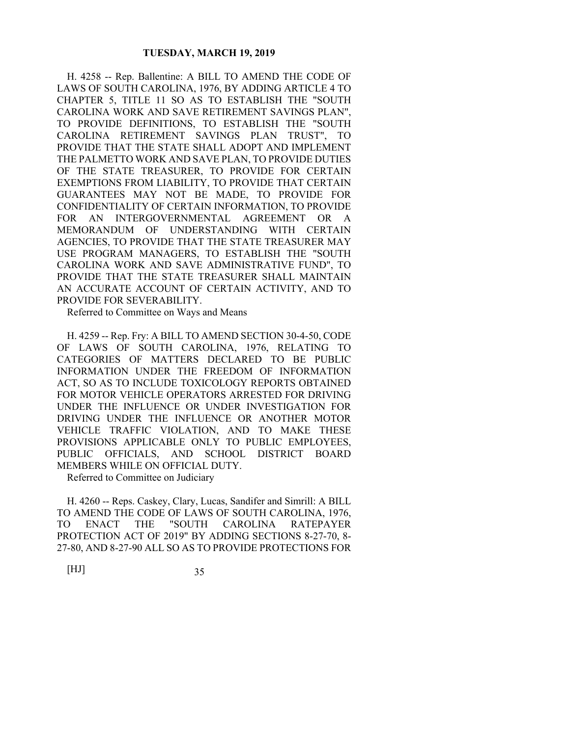H. 4258 -- Rep. Ballentine: A BILL TO AMEND THE CODE OF LAWS OF SOUTH CAROLINA, 1976, BY ADDING ARTICLE 4 TO CHAPTER 5, TITLE 11 SO AS TO ESTABLISH THE "SOUTH CAROLINA WORK AND SAVE RETIREMENT SAVINGS PLAN", TO PROVIDE DEFINITIONS, TO ESTABLISH THE "SOUTH CAROLINA RETIREMENT SAVINGS PLAN TRUST", TO PROVIDE THAT THE STATE SHALL ADOPT AND IMPLEMENT THE PALMETTO WORK AND SAVE PLAN, TO PROVIDE DUTIES OF THE STATE TREASURER, TO PROVIDE FOR CERTAIN EXEMPTIONS FROM LIABILITY, TO PROVIDE THAT CERTAIN GUARANTEES MAY NOT BE MADE, TO PROVIDE FOR CONFIDENTIALITY OF CERTAIN INFORMATION, TO PROVIDE FOR AN INTERGOVERNMENTAL AGREEMENT OR A MEMORANDUM OF UNDERSTANDING WITH CERTAIN AGENCIES, TO PROVIDE THAT THE STATE TREASURER MAY USE PROGRAM MANAGERS, TO ESTABLISH THE "SOUTH CAROLINA WORK AND SAVE ADMINISTRATIVE FUND", TO PROVIDE THAT THE STATE TREASURER SHALL MAINTAIN AN ACCURATE ACCOUNT OF CERTAIN ACTIVITY, AND TO PROVIDE FOR SEVERABILITY.

Referred to Committee on Ways and Means

H. 4259 -- Rep. Fry: A BILL TO AMEND SECTION 30-4-50, CODE OF LAWS OF SOUTH CAROLINA, 1976, RELATING TO CATEGORIES OF MATTERS DECLARED TO BE PUBLIC INFORMATION UNDER THE FREEDOM OF INFORMATION ACT, SO AS TO INCLUDE TOXICOLOGY REPORTS OBTAINED FOR MOTOR VEHICLE OPERATORS ARRESTED FOR DRIVING UNDER THE INFLUENCE OR UNDER INVESTIGATION FOR DRIVING UNDER THE INFLUENCE OR ANOTHER MOTOR VEHICLE TRAFFIC VIOLATION, AND TO MAKE THESE PROVISIONS APPLICABLE ONLY TO PUBLIC EMPLOYEES, PUBLIC OFFICIALS, AND SCHOOL DISTRICT BOARD MEMBERS WHILE ON OFFICIAL DUTY.

Referred to Committee on Judiciary

H. 4260 -- Reps. Caskey, Clary, Lucas, Sandifer and Simrill: A BILL TO AMEND THE CODE OF LAWS OF SOUTH CAROLINA, 1976, TO ENACT THE "SOUTH CAROLINA RATEPAYER PROTECTION ACT OF 2019" BY ADDING SECTIONS 8-27-70, 8- 27-80, AND 8-27-90 ALL SO AS TO PROVIDE PROTECTIONS FOR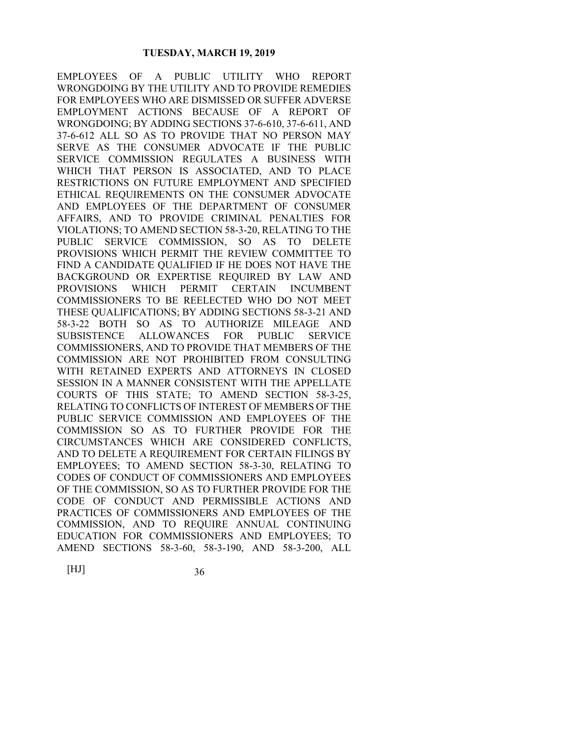EMPLOYEES OF A PUBLIC UTILITY WHO REPORT WRONGDOING BY THE UTILITY AND TO PROVIDE REMEDIES FOR EMPLOYEES WHO ARE DISMISSED OR SUFFER ADVERSE EMPLOYMENT ACTIONS BECAUSE OF A REPORT OF WRONGDOING; BY ADDING SECTIONS 37-6-610, 37-6-611, AND 37-6-612 ALL SO AS TO PROVIDE THAT NO PERSON MAY SERVE AS THE CONSUMER ADVOCATE IF THE PUBLIC SERVICE COMMISSION REGULATES A BUSINESS WITH WHICH THAT PERSON IS ASSOCIATED, AND TO PLACE RESTRICTIONS ON FUTURE EMPLOYMENT AND SPECIFIED ETHICAL REQUIREMENTS ON THE CONSUMER ADVOCATE AND EMPLOYEES OF THE DEPARTMENT OF CONSUMER AFFAIRS, AND TO PROVIDE CRIMINAL PENALTIES FOR VIOLATIONS; TO AMEND SECTION 58-3-20, RELATING TO THE PUBLIC SERVICE COMMISSION, SO AS TO DELETE PROVISIONS WHICH PERMIT THE REVIEW COMMITTEE TO FIND A CANDIDATE QUALIFIED IF HE DOES NOT HAVE THE BACKGROUND OR EXPERTISE REQUIRED BY LAW AND PROVISIONS WHICH PERMIT CERTAIN INCUMBENT COMMISSIONERS TO BE REELECTED WHO DO NOT MEET THESE QUALIFICATIONS; BY ADDING SECTIONS 58-3-21 AND 58-3-22 BOTH SO AS TO AUTHORIZE MILEAGE AND SUBSISTENCE ALLOWANCES FOR PUBLIC SERVICE COMMISSIONERS, AND TO PROVIDE THAT MEMBERS OF THE COMMISSION ARE NOT PROHIBITED FROM CONSULTING WITH RETAINED EXPERTS AND ATTORNEYS IN CLOSED SESSION IN A MANNER CONSISTENT WITH THE APPELLATE COURTS OF THIS STATE; TO AMEND SECTION 58-3-25, RELATING TO CONFLICTS OF INTEREST OF MEMBERS OF THE PUBLIC SERVICE COMMISSION AND EMPLOYEES OF THE COMMISSION SO AS TO FURTHER PROVIDE FOR THE CIRCUMSTANCES WHICH ARE CONSIDERED CONFLICTS, AND TO DELETE A REQUIREMENT FOR CERTAIN FILINGS BY EMPLOYEES; TO AMEND SECTION 58-3-30, RELATING TO CODES OF CONDUCT OF COMMISSIONERS AND EMPLOYEES OF THE COMMISSION, SO AS TO FURTHER PROVIDE FOR THE CODE OF CONDUCT AND PERMISSIBLE ACTIONS AND PRACTICES OF COMMISSIONERS AND EMPLOYEES OF THE COMMISSION, AND TO REQUIRE ANNUAL CONTINUING EDUCATION FOR COMMISSIONERS AND EMPLOYEES; TO AMEND SECTIONS 58-3-60, 58-3-190, AND 58-3-200, ALL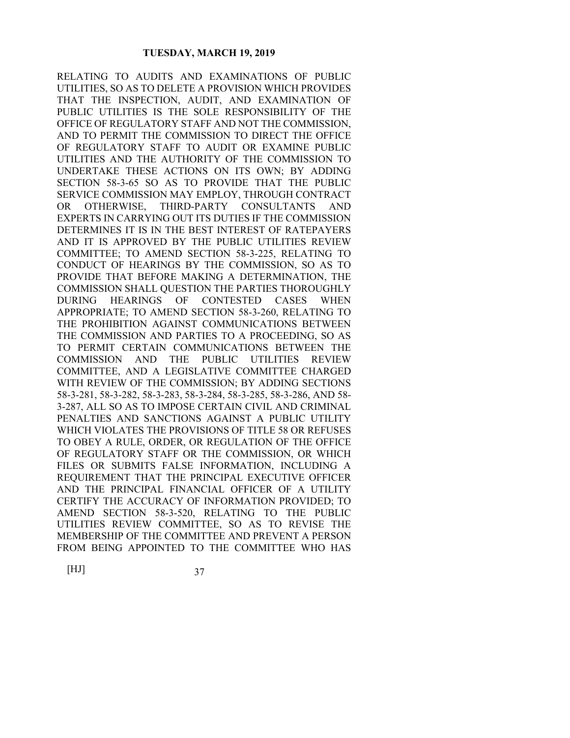RELATING TO AUDITS AND EXAMINATIONS OF PUBLIC UTILITIES, SO AS TO DELETE A PROVISION WHICH PROVIDES THAT THE INSPECTION, AUDIT, AND EXAMINATION OF PUBLIC UTILITIES IS THE SOLE RESPONSIBILITY OF THE OFFICE OF REGULATORY STAFF AND NOT THE COMMISSION, AND TO PERMIT THE COMMISSION TO DIRECT THE OFFICE OF REGULATORY STAFF TO AUDIT OR EXAMINE PUBLIC UTILITIES AND THE AUTHORITY OF THE COMMISSION TO UNDERTAKE THESE ACTIONS ON ITS OWN; BY ADDING SECTION 58-3-65 SO AS TO PROVIDE THAT THE PUBLIC SERVICE COMMISSION MAY EMPLOY, THROUGH CONTRACT OR OTHERWISE, THIRD-PARTY CONSULTANTS AND EXPERTS IN CARRYING OUT ITS DUTIES IF THE COMMISSION DETERMINES IT IS IN THE BEST INTEREST OF RATEPAYERS AND IT IS APPROVED BY THE PUBLIC UTILITIES REVIEW COMMITTEE; TO AMEND SECTION 58-3-225, RELATING TO CONDUCT OF HEARINGS BY THE COMMISSION, SO AS TO PROVIDE THAT BEFORE MAKING A DETERMINATION, THE COMMISSION SHALL QUESTION THE PARTIES THOROUGHLY DURING HEARINGS OF CONTESTED CASES WHEN APPROPRIATE; TO AMEND SECTION 58-3-260, RELATING TO THE PROHIBITION AGAINST COMMUNICATIONS BETWEEN THE COMMISSION AND PARTIES TO A PROCEEDING, SO AS TO PERMIT CERTAIN COMMUNICATIONS BETWEEN THE COMMISSION AND THE PUBLIC UTILITIES REVIEW COMMITTEE, AND A LEGISLATIVE COMMITTEE CHARGED WITH REVIEW OF THE COMMISSION; BY ADDING SECTIONS 58-3-281, 58-3-282, 58-3-283, 58-3-284, 58-3-285, 58-3-286, AND 58- 3-287, ALL SO AS TO IMPOSE CERTAIN CIVIL AND CRIMINAL PENALTIES AND SANCTIONS AGAINST A PUBLIC UTILITY WHICH VIOLATES THE PROVISIONS OF TITLE 58 OR REFUSES TO OBEY A RULE, ORDER, OR REGULATION OF THE OFFICE OF REGULATORY STAFF OR THE COMMISSION, OR WHICH FILES OR SUBMITS FALSE INFORMATION, INCLUDING A REQUIREMENT THAT THE PRINCIPAL EXECUTIVE OFFICER AND THE PRINCIPAL FINANCIAL OFFICER OF A UTILITY CERTIFY THE ACCURACY OF INFORMATION PROVIDED; TO AMEND SECTION 58-3-520, RELATING TO THE PUBLIC UTILITIES REVIEW COMMITTEE, SO AS TO REVISE THE MEMBERSHIP OF THE COMMITTEE AND PREVENT A PERSON FROM BEING APPOINTED TO THE COMMITTEE WHO HAS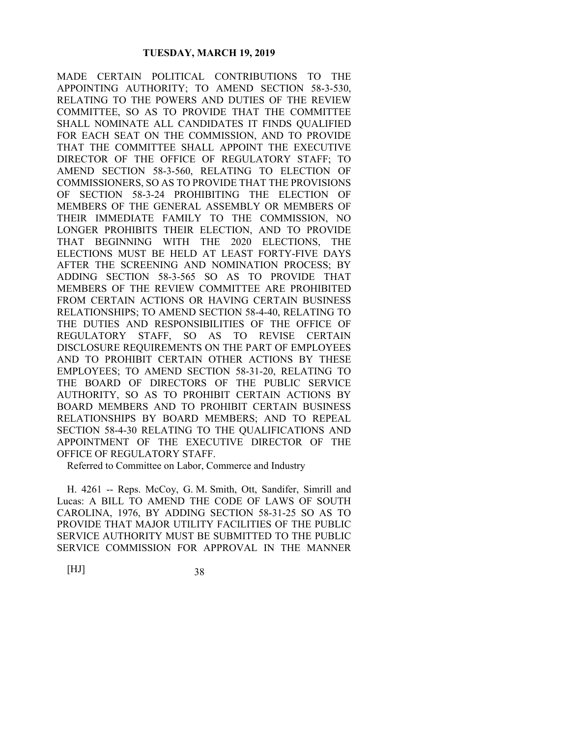MADE CERTAIN POLITICAL CONTRIBUTIONS TO THE APPOINTING AUTHORITY; TO AMEND SECTION 58-3-530, RELATING TO THE POWERS AND DUTIES OF THE REVIEW COMMITTEE, SO AS TO PROVIDE THAT THE COMMITTEE SHALL NOMINATE ALL CANDIDATES IT FINDS QUALIFIED FOR EACH SEAT ON THE COMMISSION, AND TO PROVIDE THAT THE COMMITTEE SHALL APPOINT THE EXECUTIVE DIRECTOR OF THE OFFICE OF REGULATORY STAFF; TO AMEND SECTION 58-3-560, RELATING TO ELECTION OF COMMISSIONERS, SO AS TO PROVIDE THAT THE PROVISIONS OF SECTION 58-3-24 PROHIBITING THE ELECTION OF MEMBERS OF THE GENERAL ASSEMBLY OR MEMBERS OF THEIR IMMEDIATE FAMILY TO THE COMMISSION, NO LONGER PROHIBITS THEIR ELECTION, AND TO PROVIDE THAT BEGINNING WITH THE 2020 ELECTIONS, THE ELECTIONS MUST BE HELD AT LEAST FORTY-FIVE DAYS AFTER THE SCREENING AND NOMINATION PROCESS; BY ADDING SECTION 58-3-565 SO AS TO PROVIDE THAT MEMBERS OF THE REVIEW COMMITTEE ARE PROHIBITED FROM CERTAIN ACTIONS OR HAVING CERTAIN BUSINESS RELATIONSHIPS; TO AMEND SECTION 58-4-40, RELATING TO THE DUTIES AND RESPONSIBILITIES OF THE OFFICE OF REGULATORY STAFF, SO AS TO REVISE CERTAIN DISCLOSURE REQUIREMENTS ON THE PART OF EMPLOYEES AND TO PROHIBIT CERTAIN OTHER ACTIONS BY THESE EMPLOYEES; TO AMEND SECTION 58-31-20, RELATING TO THE BOARD OF DIRECTORS OF THE PUBLIC SERVICE AUTHORITY, SO AS TO PROHIBIT CERTAIN ACTIONS BY BOARD MEMBERS AND TO PROHIBIT CERTAIN BUSINESS RELATIONSHIPS BY BOARD MEMBERS; AND TO REPEAL SECTION 58-4-30 RELATING TO THE QUALIFICATIONS AND APPOINTMENT OF THE EXECUTIVE DIRECTOR OF THE OFFICE OF REGULATORY STAFF.

Referred to Committee on Labor, Commerce and Industry

H. 4261 -- Reps. McCoy, G. M. Smith, Ott, Sandifer, Simrill and Lucas: A BILL TO AMEND THE CODE OF LAWS OF SOUTH CAROLINA, 1976, BY ADDING SECTION 58-31-25 SO AS TO PROVIDE THAT MAJOR UTILITY FACILITIES OF THE PUBLIC SERVICE AUTHORITY MUST BE SUBMITTED TO THE PUBLIC SERVICE COMMISSION FOR APPROVAL IN THE MANNER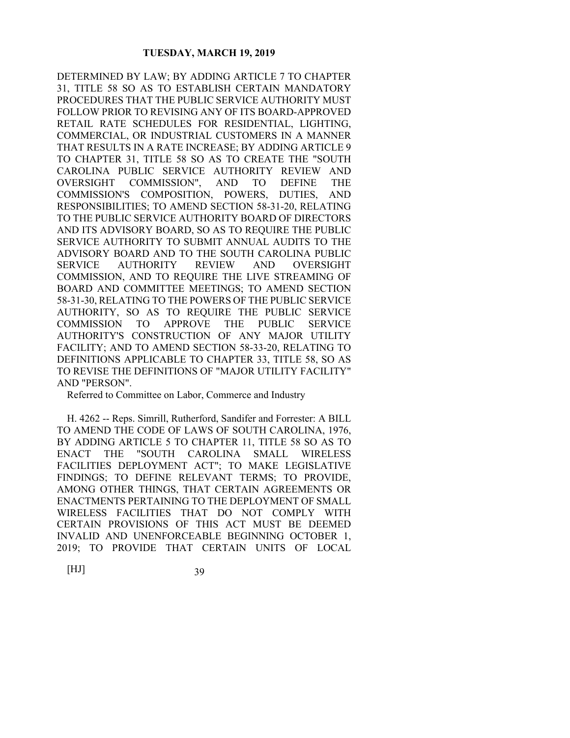DETERMINED BY LAW; BY ADDING ARTICLE 7 TO CHAPTER 31, TITLE 58 SO AS TO ESTABLISH CERTAIN MANDATORY PROCEDURES THAT THE PUBLIC SERVICE AUTHORITY MUST FOLLOW PRIOR TO REVISING ANY OF ITS BOARD-APPROVED RETAIL RATE SCHEDULES FOR RESIDENTIAL, LIGHTING, COMMERCIAL, OR INDUSTRIAL CUSTOMERS IN A MANNER THAT RESULTS IN A RATE INCREASE; BY ADDING ARTICLE 9 TO CHAPTER 31, TITLE 58 SO AS TO CREATE THE "SOUTH CAROLINA PUBLIC SERVICE AUTHORITY REVIEW AND OVERSIGHT COMMISSION", AND TO DEFINE THE COMMISSION'S COMPOSITION, POWERS, DUTIES, AND RESPONSIBILITIES; TO AMEND SECTION 58-31-20, RELATING TO THE PUBLIC SERVICE AUTHORITY BOARD OF DIRECTORS AND ITS ADVISORY BOARD, SO AS TO REQUIRE THE PUBLIC SERVICE AUTHORITY TO SUBMIT ANNUAL AUDITS TO THE ADVISORY BOARD AND TO THE SOUTH CAROLINA PUBLIC SERVICE AUTHORITY REVIEW AND OVERSIGHT COMMISSION, AND TO REQUIRE THE LIVE STREAMING OF BOARD AND COMMITTEE MEETINGS; TO AMEND SECTION 58-31-30, RELATING TO THE POWERS OF THE PUBLIC SERVICE AUTHORITY, SO AS TO REQUIRE THE PUBLIC SERVICE COMMISSION TO APPROVE THE PUBLIC SERVICE AUTHORITY'S CONSTRUCTION OF ANY MAJOR UTILITY FACILITY; AND TO AMEND SECTION 58-33-20, RELATING TO DEFINITIONS APPLICABLE TO CHAPTER 33, TITLE 58, SO AS TO REVISE THE DEFINITIONS OF "MAJOR UTILITY FACILITY" AND "PERSON".

Referred to Committee on Labor, Commerce and Industry

H. 4262 -- Reps. Simrill, Rutherford, Sandifer and Forrester: A BILL TO AMEND THE CODE OF LAWS OF SOUTH CAROLINA, 1976, BY ADDING ARTICLE 5 TO CHAPTER 11, TITLE 58 SO AS TO ENACT THE "SOUTH CAROLINA SMALL WIRELESS FACILITIES DEPLOYMENT ACT"; TO MAKE LEGISLATIVE FINDINGS; TO DEFINE RELEVANT TERMS; TO PROVIDE, AMONG OTHER THINGS, THAT CERTAIN AGREEMENTS OR ENACTMENTS PERTAINING TO THE DEPLOYMENT OF SMALL WIRELESS FACILITIES THAT DO NOT COMPLY WITH CERTAIN PROVISIONS OF THIS ACT MUST BE DEEMED INVALID AND UNENFORCEABLE BEGINNING OCTOBER 1, 2019; TO PROVIDE THAT CERTAIN UNITS OF LOCAL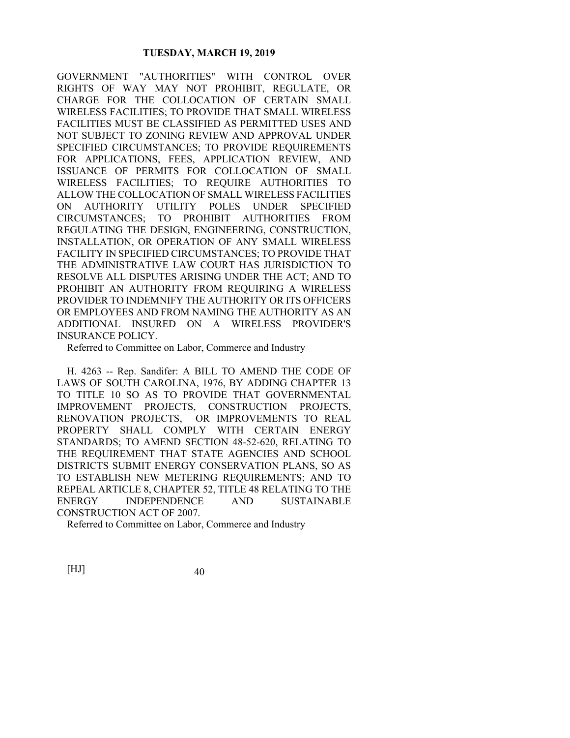GOVERNMENT "AUTHORITIES" WITH CONTROL OVER RIGHTS OF WAY MAY NOT PROHIBIT, REGULATE, OR CHARGE FOR THE COLLOCATION OF CERTAIN SMALL WIRELESS FACILITIES; TO PROVIDE THAT SMALL WIRELESS FACILITIES MUST BE CLASSIFIED AS PERMITTED USES AND NOT SUBJECT TO ZONING REVIEW AND APPROVAL UNDER SPECIFIED CIRCUMSTANCES; TO PROVIDE REQUIREMENTS FOR APPLICATIONS, FEES, APPLICATION REVIEW, AND ISSUANCE OF PERMITS FOR COLLOCATION OF SMALL WIRELESS FACILITIES; TO REQUIRE AUTHORITIES TO ALLOW THE COLLOCATION OF SMALL WIRELESS FACILITIES ON AUTHORITY UTILITY POLES UNDER SPECIFIED CIRCUMSTANCES; TO PROHIBIT AUTHORITIES FROM REGULATING THE DESIGN, ENGINEERING, CONSTRUCTION, INSTALLATION, OR OPERATION OF ANY SMALL WIRELESS FACILITY IN SPECIFIED CIRCUMSTANCES; TO PROVIDE THAT THE ADMINISTRATIVE LAW COURT HAS JURISDICTION TO RESOLVE ALL DISPUTES ARISING UNDER THE ACT; AND TO PROHIBIT AN AUTHORITY FROM REQUIRING A WIRELESS PROVIDER TO INDEMNIFY THE AUTHORITY OR ITS OFFICERS OR EMPLOYEES AND FROM NAMING THE AUTHORITY AS AN ADDITIONAL INSURED ON A WIRELESS PROVIDER'S INSURANCE POLICY.

Referred to Committee on Labor, Commerce and Industry

H. 4263 -- Rep. Sandifer: A BILL TO AMEND THE CODE OF LAWS OF SOUTH CAROLINA, 1976, BY ADDING CHAPTER 13 TO TITLE 10 SO AS TO PROVIDE THAT GOVERNMENTAL IMPROVEMENT PROJECTS, CONSTRUCTION PROJECTS, RENOVATION PROJECTS, OR IMPROVEMENTS TO REAL PROPERTY SHALL COMPLY WITH CERTAIN ENERGY STANDARDS; TO AMEND SECTION 48-52-620, RELATING TO THE REQUIREMENT THAT STATE AGENCIES AND SCHOOL DISTRICTS SUBMIT ENERGY CONSERVATION PLANS, SO AS TO ESTABLISH NEW METERING REQUIREMENTS; AND TO REPEAL ARTICLE 8, CHAPTER 52, TITLE 48 RELATING TO THE ENERGY INDEPENDENCE AND SUSTAINABLE CONSTRUCTION ACT OF 2007.

Referred to Committee on Labor, Commerce and Industry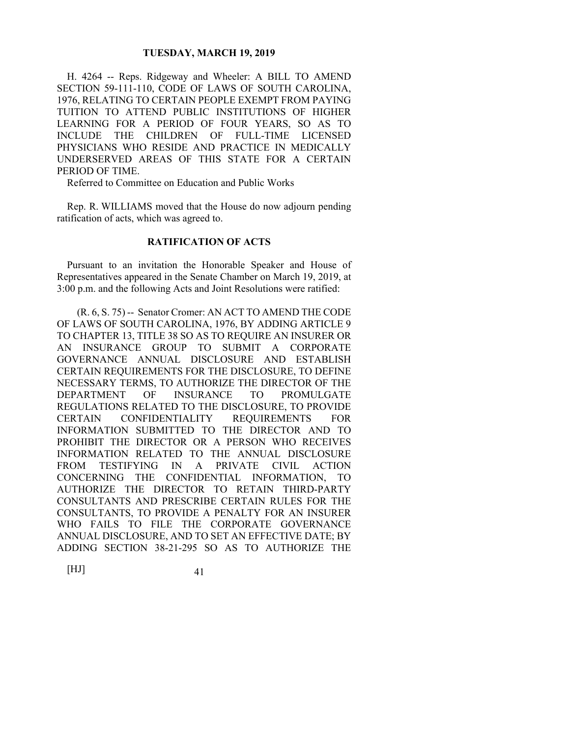H. 4264 -- Reps. Ridgeway and Wheeler: A BILL TO AMEND SECTION 59-111-110, CODE OF LAWS OF SOUTH CAROLINA, 1976, RELATING TO CERTAIN PEOPLE EXEMPT FROM PAYING TUITION TO ATTEND PUBLIC INSTITUTIONS OF HIGHER LEARNING FOR A PERIOD OF FOUR YEARS, SO AS TO INCLUDE THE CHILDREN OF FULL-TIME LICENSED PHYSICIANS WHO RESIDE AND PRACTICE IN MEDICALLY UNDERSERVED AREAS OF THIS STATE FOR A CERTAIN PERIOD OF TIME.

Referred to Committee on Education and Public Works

Rep. R. WILLIAMS moved that the House do now adjourn pending ratification of acts, which was agreed to.

### **RATIFICATION OF ACTS**

Pursuant to an invitation the Honorable Speaker and House of Representatives appeared in the Senate Chamber on March 19, 2019, at 3:00 p.m. and the following Acts and Joint Resolutions were ratified:

 (R. 6, S. 75) -- Senator Cromer: AN ACT TO AMEND THE CODE OF LAWS OF SOUTH CAROLINA, 1976, BY ADDING ARTICLE 9 TO CHAPTER 13, TITLE 38 SO AS TO REQUIRE AN INSURER OR AN INSURANCE GROUP TO SUBMIT A CORPORATE GOVERNANCE ANNUAL DISCLOSURE AND ESTABLISH CERTAIN REQUIREMENTS FOR THE DISCLOSURE, TO DEFINE NECESSARY TERMS, TO AUTHORIZE THE DIRECTOR OF THE DEPARTMENT OF INSURANCE TO PROMULGATE REGULATIONS RELATED TO THE DISCLOSURE, TO PROVIDE CERTAIN CONFIDENTIALITY REQUIREMENTS FOR INFORMATION SUBMITTED TO THE DIRECTOR AND TO PROHIBIT THE DIRECTOR OR A PERSON WHO RECEIVES INFORMATION RELATED TO THE ANNUAL DISCLOSURE FROM TESTIFYING IN A PRIVATE CIVIL ACTION CONCERNING THE CONFIDENTIAL INFORMATION, TO AUTHORIZE THE DIRECTOR TO RETAIN THIRD-PARTY CONSULTANTS AND PRESCRIBE CERTAIN RULES FOR THE CONSULTANTS, TO PROVIDE A PENALTY FOR AN INSURER WHO FAILS TO FILE THE CORPORATE GOVERNANCE ANNUAL DISCLOSURE, AND TO SET AN EFFECTIVE DATE; BY ADDING SECTION 38-21-295 SO AS TO AUTHORIZE THE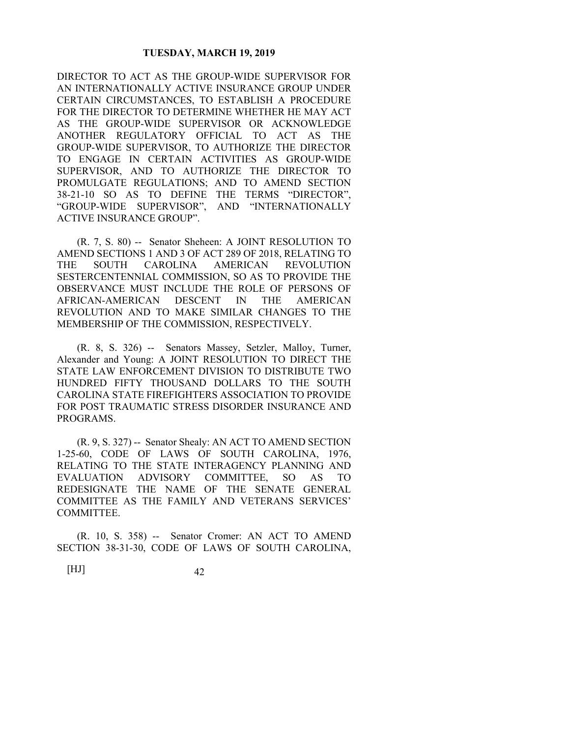DIRECTOR TO ACT AS THE GROUP-WIDE SUPERVISOR FOR AN INTERNATIONALLY ACTIVE INSURANCE GROUP UNDER CERTAIN CIRCUMSTANCES, TO ESTABLISH A PROCEDURE FOR THE DIRECTOR TO DETERMINE WHETHER HE MAY ACT AS THE GROUP-WIDE SUPERVISOR OR ACKNOWLEDGE ANOTHER REGULATORY OFFICIAL TO ACT AS THE GROUP-WIDE SUPERVISOR, TO AUTHORIZE THE DIRECTOR TO ENGAGE IN CERTAIN ACTIVITIES AS GROUP-WIDE SUPERVISOR, AND TO AUTHORIZE THE DIRECTOR TO PROMULGATE REGULATIONS; AND TO AMEND SECTION 38-21-10 SO AS TO DEFINE THE TERMS "DIRECTOR", "GROUP-WIDE SUPERVISOR", AND "INTERNATIONALLY ACTIVE INSURANCE GROUP".

 (R. 7, S. 80) -- Senator Sheheen: A JOINT RESOLUTION TO AMEND SECTIONS 1 AND 3 OF ACT 289 OF 2018, RELATING TO THE SOUTH CAROLINA AMERICAN REVOLUTION SESTERCENTENNIAL COMMISSION, SO AS TO PROVIDE THE OBSERVANCE MUST INCLUDE THE ROLE OF PERSONS OF AFRICAN-AMERICAN DESCENT IN THE AMERICAN REVOLUTION AND TO MAKE SIMILAR CHANGES TO THE MEMBERSHIP OF THE COMMISSION, RESPECTIVELY.

 (R. 8, S. 326) -- Senators Massey, Setzler, Malloy, Turner, Alexander and Young: A JOINT RESOLUTION TO DIRECT THE STATE LAW ENFORCEMENT DIVISION TO DISTRIBUTE TWO HUNDRED FIFTY THOUSAND DOLLARS TO THE SOUTH CAROLINA STATE FIREFIGHTERS ASSOCIATION TO PROVIDE FOR POST TRAUMATIC STRESS DISORDER INSURANCE AND PROGRAMS.

 (R. 9, S. 327) -- Senator Shealy: AN ACT TO AMEND SECTION 1-25-60, CODE OF LAWS OF SOUTH CAROLINA, 1976, RELATING TO THE STATE INTERAGENCY PLANNING AND EVALUATION ADVISORY COMMITTEE, SO AS TO REDESIGNATE THE NAME OF THE SENATE GENERAL COMMITTEE AS THE FAMILY AND VETERANS SERVICES' COMMITTEE.

 (R. 10, S. 358) -- Senator Cromer: AN ACT TO AMEND SECTION 38-31-30, CODE OF LAWS OF SOUTH CAROLINA,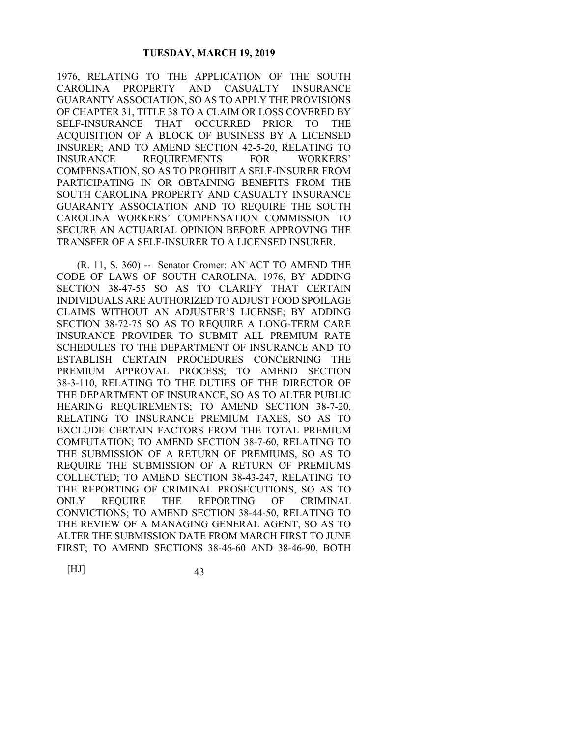1976, RELATING TO THE APPLICATION OF THE SOUTH CAROLINA PROPERTY AND CASUALTY INSURANCE GUARANTY ASSOCIATION, SO AS TO APPLY THE PROVISIONS OF CHAPTER 31, TITLE 38 TO A CLAIM OR LOSS COVERED BY SELF-INSURANCE THAT OCCURRED PRIOR TO THE ACQUISITION OF A BLOCK OF BUSINESS BY A LICENSED INSURER; AND TO AMEND SECTION 42-5-20, RELATING TO INSURANCE REQUIREMENTS FOR WORKERS' COMPENSATION, SO AS TO PROHIBIT A SELF-INSURER FROM PARTICIPATING IN OR OBTAINING BENEFITS FROM THE SOUTH CAROLINA PROPERTY AND CASUALTY INSURANCE GUARANTY ASSOCIATION AND TO REQUIRE THE SOUTH CAROLINA WORKERS' COMPENSATION COMMISSION TO SECURE AN ACTUARIAL OPINION BEFORE APPROVING THE TRANSFER OF A SELF-INSURER TO A LICENSED INSURER.

 (R. 11, S. 360) -- Senator Cromer: AN ACT TO AMEND THE CODE OF LAWS OF SOUTH CAROLINA, 1976, BY ADDING SECTION 38-47-55 SO AS TO CLARIFY THAT CERTAIN INDIVIDUALS ARE AUTHORIZED TO ADJUST FOOD SPOILAGE CLAIMS WITHOUT AN ADJUSTER'S LICENSE; BY ADDING SECTION 38-72-75 SO AS TO REQUIRE A LONG-TERM CARE INSURANCE PROVIDER TO SUBMIT ALL PREMIUM RATE SCHEDULES TO THE DEPARTMENT OF INSURANCE AND TO ESTABLISH CERTAIN PROCEDURES CONCERNING THE PREMIUM APPROVAL PROCESS; TO AMEND SECTION 38-3-110, RELATING TO THE DUTIES OF THE DIRECTOR OF THE DEPARTMENT OF INSURANCE, SO AS TO ALTER PUBLIC HEARING REQUIREMENTS; TO AMEND SECTION 38-7-20, RELATING TO INSURANCE PREMIUM TAXES, SO AS TO EXCLUDE CERTAIN FACTORS FROM THE TOTAL PREMIUM COMPUTATION; TO AMEND SECTION 38-7-60, RELATING TO THE SUBMISSION OF A RETURN OF PREMIUMS, SO AS TO REQUIRE THE SUBMISSION OF A RETURN OF PREMIUMS COLLECTED; TO AMEND SECTION 38-43-247, RELATING TO THE REPORTING OF CRIMINAL PROSECUTIONS, SO AS TO ONLY REQUIRE THE REPORTING OF CRIMINAL CONVICTIONS; TO AMEND SECTION 38-44-50, RELATING TO THE REVIEW OF A MANAGING GENERAL AGENT, SO AS TO ALTER THE SUBMISSION DATE FROM MARCH FIRST TO JUNE FIRST; TO AMEND SECTIONS 38-46-60 AND 38-46-90, BOTH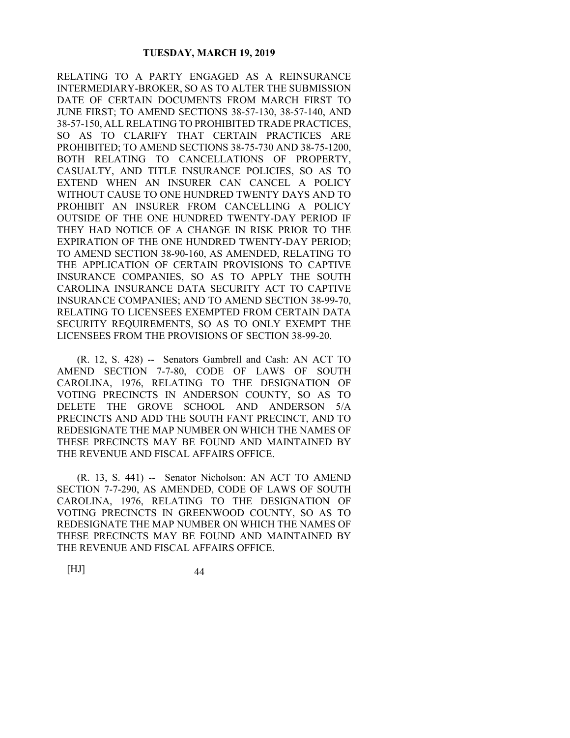RELATING TO A PARTY ENGAGED AS A REINSURANCE INTERMEDIARY-BROKER, SO AS TO ALTER THE SUBMISSION DATE OF CERTAIN DOCUMENTS FROM MARCH FIRST TO JUNE FIRST; TO AMEND SECTIONS 38-57-130, 38-57-140, AND 38-57-150, ALL RELATING TO PROHIBITED TRADE PRACTICES, SO AS TO CLARIFY THAT CERTAIN PRACTICES ARE PROHIBITED; TO AMEND SECTIONS 38-75-730 AND 38-75-1200, BOTH RELATING TO CANCELLATIONS OF PROPERTY, CASUALTY, AND TITLE INSURANCE POLICIES, SO AS TO EXTEND WHEN AN INSURER CAN CANCEL A POLICY WITHOUT CAUSE TO ONE HUNDRED TWENTY DAYS AND TO PROHIBIT AN INSURER FROM CANCELLING A POLICY OUTSIDE OF THE ONE HUNDRED TWENTY-DAY PERIOD IF THEY HAD NOTICE OF A CHANGE IN RISK PRIOR TO THE EXPIRATION OF THE ONE HUNDRED TWENTY-DAY PERIOD; TO AMEND SECTION 38-90-160, AS AMENDED, RELATING TO THE APPLICATION OF CERTAIN PROVISIONS TO CAPTIVE INSURANCE COMPANIES, SO AS TO APPLY THE SOUTH CAROLINA INSURANCE DATA SECURITY ACT TO CAPTIVE INSURANCE COMPANIES; AND TO AMEND SECTION 38-99-70, RELATING TO LICENSEES EXEMPTED FROM CERTAIN DATA SECURITY REQUIREMENTS, SO AS TO ONLY EXEMPT THE LICENSEES FROM THE PROVISIONS OF SECTION 38-99-20.

 (R. 12, S. 428) -- Senators Gambrell and Cash: AN ACT TO AMEND SECTION 7-7-80, CODE OF LAWS OF SOUTH CAROLINA, 1976, RELATING TO THE DESIGNATION OF VOTING PRECINCTS IN ANDERSON COUNTY, SO AS TO DELETE THE GROVE SCHOOL AND ANDERSON 5/A PRECINCTS AND ADD THE SOUTH FANT PRECINCT, AND TO REDESIGNATE THE MAP NUMBER ON WHICH THE NAMES OF THESE PRECINCTS MAY BE FOUND AND MAINTAINED BY THE REVENUE AND FISCAL AFFAIRS OFFICE.

 (R. 13, S. 441) -- Senator Nicholson: AN ACT TO AMEND SECTION 7-7-290, AS AMENDED, CODE OF LAWS OF SOUTH CAROLINA, 1976, RELATING TO THE DESIGNATION OF VOTING PRECINCTS IN GREENWOOD COUNTY, SO AS TO REDESIGNATE THE MAP NUMBER ON WHICH THE NAMES OF THESE PRECINCTS MAY BE FOUND AND MAINTAINED BY THE REVENUE AND FISCAL AFFAIRS OFFICE.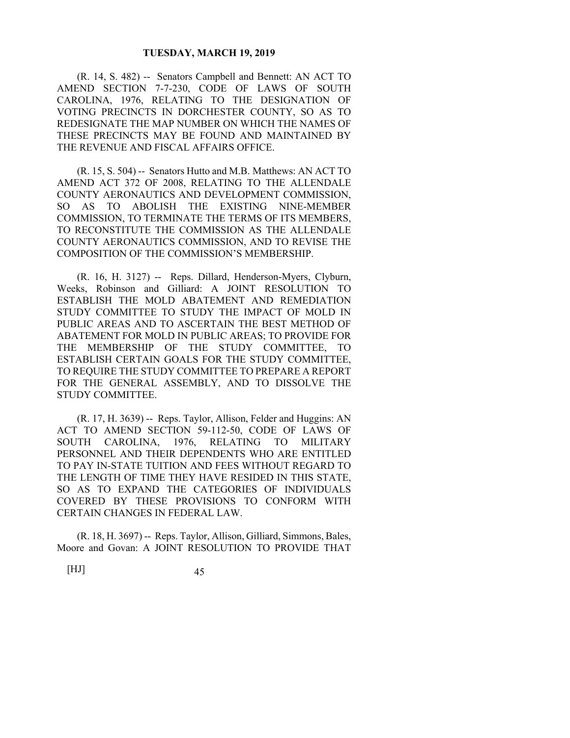(R. 14, S. 482) -- Senators Campbell and Bennett: AN ACT TO AMEND SECTION 7-7-230, CODE OF LAWS OF SOUTH CAROLINA, 1976, RELATING TO THE DESIGNATION OF VOTING PRECINCTS IN DORCHESTER COUNTY, SO AS TO REDESIGNATE THE MAP NUMBER ON WHICH THE NAMES OF THESE PRECINCTS MAY BE FOUND AND MAINTAINED BY THE REVENUE AND FISCAL AFFAIRS OFFICE.

 (R. 15, S. 504) -- Senators Hutto and M.B. Matthews: AN ACT TO AMEND ACT 372 OF 2008, RELATING TO THE ALLENDALE COUNTY AERONAUTICS AND DEVELOPMENT COMMISSION, SO AS TO ABOLISH THE EXISTING NINE-MEMBER COMMISSION, TO TERMINATE THE TERMS OF ITS MEMBERS, TO RECONSTITUTE THE COMMISSION AS THE ALLENDALE COUNTY AERONAUTICS COMMISSION, AND TO REVISE THE COMPOSITION OF THE COMMISSION'S MEMBERSHIP.

 (R. 16, H. 3127) -- Reps. Dillard, Henderson-Myers, Clyburn, Weeks, Robinson and Gilliard: A JOINT RESOLUTION TO ESTABLISH THE MOLD ABATEMENT AND REMEDIATION STUDY COMMITTEE TO STUDY THE IMPACT OF MOLD IN PUBLIC AREAS AND TO ASCERTAIN THE BEST METHOD OF ABATEMENT FOR MOLD IN PUBLIC AREAS; TO PROVIDE FOR THE MEMBERSHIP OF THE STUDY COMMITTEE, TO ESTABLISH CERTAIN GOALS FOR THE STUDY COMMITTEE, TO REQUIRE THE STUDY COMMITTEE TO PREPARE A REPORT FOR THE GENERAL ASSEMBLY, AND TO DISSOLVE THE STUDY COMMITTEE.

 (R. 17, H. 3639) -- Reps. Taylor, Allison, Felder and Huggins: AN ACT TO AMEND SECTION 59-112-50, CODE OF LAWS OF SOUTH CAROLINA, 1976, RELATING TO MILITARY PERSONNEL AND THEIR DEPENDENTS WHO ARE ENTITLED TO PAY IN-STATE TUITION AND FEES WITHOUT REGARD TO THE LENGTH OF TIME THEY HAVE RESIDED IN THIS STATE, SO AS TO EXPAND THE CATEGORIES OF INDIVIDUALS COVERED BY THESE PROVISIONS TO CONFORM WITH CERTAIN CHANGES IN FEDERAL LAW.

 (R. 18, H. 3697) -- Reps. Taylor, Allison, Gilliard, Simmons, Bales, Moore and Govan: A JOINT RESOLUTION TO PROVIDE THAT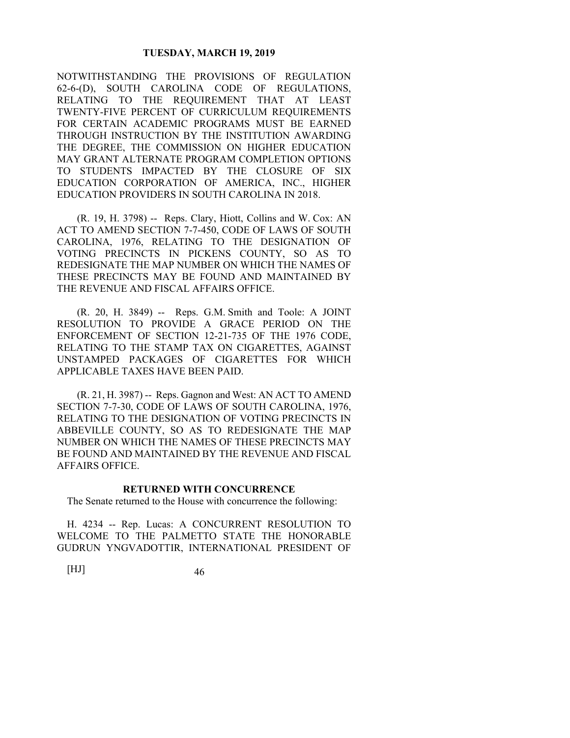NOTWITHSTANDING THE PROVISIONS OF REGULATION 62-6-(D), SOUTH CAROLINA CODE OF REGULATIONS, RELATING TO THE REQUIREMENT THAT AT LEAST TWENTY-FIVE PERCENT OF CURRICULUM REQUIREMENTS FOR CERTAIN ACADEMIC PROGRAMS MUST BE EARNED THROUGH INSTRUCTION BY THE INSTITUTION AWARDING THE DEGREE, THE COMMISSION ON HIGHER EDUCATION MAY GRANT ALTERNATE PROGRAM COMPLETION OPTIONS TO STUDENTS IMPACTED BY THE CLOSURE OF SIX EDUCATION CORPORATION OF AMERICA, INC., HIGHER EDUCATION PROVIDERS IN SOUTH CAROLINA IN 2018.

 (R. 19, H. 3798) -- Reps. Clary, Hiott, Collins and W. Cox: AN ACT TO AMEND SECTION 7-7-450, CODE OF LAWS OF SOUTH CAROLINA, 1976, RELATING TO THE DESIGNATION OF VOTING PRECINCTS IN PICKENS COUNTY, SO AS TO REDESIGNATE THE MAP NUMBER ON WHICH THE NAMES OF THESE PRECINCTS MAY BE FOUND AND MAINTAINED BY THE REVENUE AND FISCAL AFFAIRS OFFICE.

 (R. 20, H. 3849) -- Reps. G.M. Smith and Toole: A JOINT RESOLUTION TO PROVIDE A GRACE PERIOD ON THE ENFORCEMENT OF SECTION 12-21-735 OF THE 1976 CODE, RELATING TO THE STAMP TAX ON CIGARETTES, AGAINST UNSTAMPED PACKAGES OF CIGARETTES FOR WHICH APPLICABLE TAXES HAVE BEEN PAID.

 (R. 21, H. 3987) -- Reps. Gagnon and West: AN ACT TO AMEND SECTION 7-7-30, CODE OF LAWS OF SOUTH CAROLINA, 1976, RELATING TO THE DESIGNATION OF VOTING PRECINCTS IN ABBEVILLE COUNTY, SO AS TO REDESIGNATE THE MAP NUMBER ON WHICH THE NAMES OF THESE PRECINCTS MAY BE FOUND AND MAINTAINED BY THE REVENUE AND FISCAL AFFAIRS OFFICE.

#### **RETURNED WITH CONCURRENCE**

The Senate returned to the House with concurrence the following:

H. 4234 -- Rep. Lucas: A CONCURRENT RESOLUTION TO WELCOME TO THE PALMETTO STATE THE HONORABLE GUDRUN YNGVADOTTIR, INTERNATIONAL PRESIDENT OF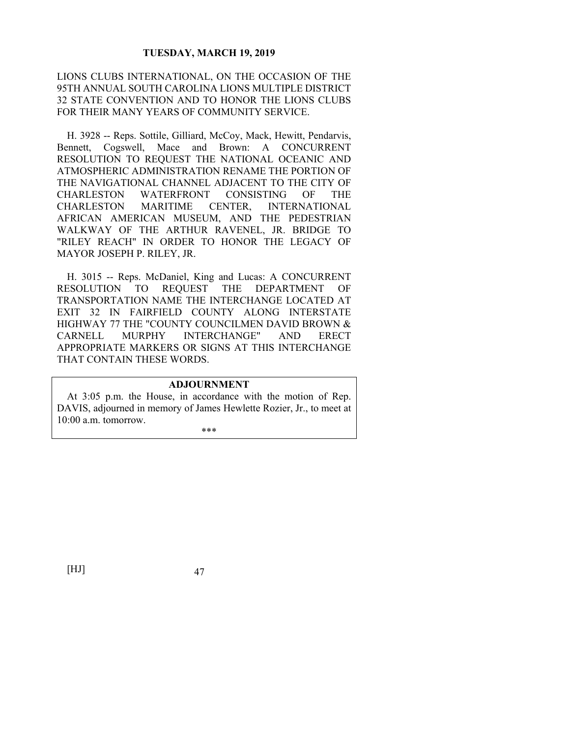LIONS CLUBS INTERNATIONAL, ON THE OCCASION OF THE 95TH ANNUAL SOUTH CAROLINA LIONS MULTIPLE DISTRICT 32 STATE CONVENTION AND TO HONOR THE LIONS CLUBS FOR THEIR MANY YEARS OF COMMUNITY SERVICE.

H. 3928 -- Reps. Sottile, Gilliard, McCoy, Mack, Hewitt, Pendarvis, Bennett, Cogswell, Mace and Brown: A CONCURRENT RESOLUTION TO REQUEST THE NATIONAL OCEANIC AND ATMOSPHERIC ADMINISTRATION RENAME THE PORTION OF THE NAVIGATIONAL CHANNEL ADJACENT TO THE CITY OF CHARLESTON WATERFRONT CONSISTING OF THE CHARLESTON MARITIME CENTER, INTERNATIONAL AFRICAN AMERICAN MUSEUM, AND THE PEDESTRIAN WALKWAY OF THE ARTHUR RAVENEL, JR. BRIDGE TO "RILEY REACH" IN ORDER TO HONOR THE LEGACY OF MAYOR JOSEPH P. RILEY, JR.

H. 3015 -- Reps. McDaniel, King and Lucas: A CONCURRENT RESOLUTION TO REQUEST THE DEPARTMENT OF TRANSPORTATION NAME THE INTERCHANGE LOCATED AT EXIT 32 IN FAIRFIELD COUNTY ALONG INTERSTATE HIGHWAY 77 THE "COUNTY COUNCILMEN DAVID BROWN & CARNELL MURPHY INTERCHANGE" AND ERECT APPROPRIATE MARKERS OR SIGNS AT THIS INTERCHANGE THAT CONTAIN THESE WORDS.

### **ADJOURNMENT**

At 3:05 p.m. the House, in accordance with the motion of Rep. DAVIS, adjourned in memory of James Hewlette Rozier, Jr., to meet at 10:00 a.m. tomorrow.

\*\*\*